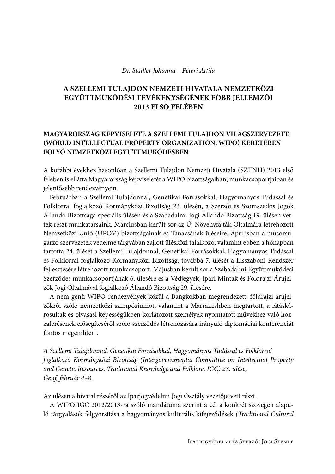#### Dr. Stadler Johanna - Péteri Attila

# A SZELLEMI TULAJDON NEMZETI HIVATALA NEMZETKÖZI EGYÜTTMŰKÖDÉSI TEVÉKENYSÉGÉNEK FŐBB JELLEMZŐI 2013 ELSŐ FELÉBEN

# MAGYARORSZÁG KÉPVISELETE A SZELLEMI TULAJDON VILÁGSZERVEZETE (WORLD INTELLECTUAL PROPERTY ORGANIZATION, WIPO) KERETÉBEN FOLYÓ NEMZETKÖZI EGYÜTTMŰKÖDÉSBEN

A korábbi évekhez hasonlóan a Szellemi Tulajdon Nemzeti Hivatala (SZTNH) 2013 első felében is ellátta Magyarország képviseletét a WIPO bizottságaiban, munkacsoportjaiban és jelentősebb rendezvényein.

Februárban a Szellemi Tulajdonnal, Genetikai Forrásokkal, Hagyományos Tudással és Folklórral foglalkozó Kormányközi Bizottság 23. ülésén, a Szerzői és Szomszédos Jogok Állandó Bizottsága speciális ülésén és a Szabadalmi Jogi Állandó Bizottság 19. ülésén vettek részt munkatársaink. Márciusban került sor az Új Növényfajták Oltalmára létrehozott Nemzetközi Unió (UPOV) bizottságainak és Tanácsának üléseire. Áprilisban a műsorsugárzó szervezetek védelme tárgyában zajlott ülésközi találkozó, valamint ebben a hónapban tartotta 24. ülését a Szellemi Tulajdonnal, Genetikai Forrásokkal, Hagyományos Tudással és Folklórral foglalkozó Kormányközi Bizottság, továbbá 7. ülését a Lisszaboni Rendszer fejlesztésére létrehozott munkacsoport. Májusban került sor a Szabadalmi Együttműködési Szerződés munkacsoportjának 6. ülésére és a Védjegyek, Ipari Minták és Földrajzi Árujelzők Jogi Oltalmával foglalkozó Állandó Bizottság 29. ülésére.

A nem genfi WIPO-rendezvények közül a Bangkokban megrendezett, földrajzi árujelzőkről szóló nemzetközi szimpóziumot, valamint a Marrakeshben megtartott, a látáskárosultak és olvasási képességükben korlátozott személyek nyomtatott művekhez való hozzáférésének elősegítéséről szóló szerződés létrehozására irányuló diplomáciai konferenciát fontos megemlíteni.

A Szellemi Tulajdonnal, Genetikai Forrásokkal, Hagyományos Tudással és Folklórral foglalkozó Kormányközi Bizottság (Intergovernmental Committee on Intellectual Property and Genetic Resources, Traditional Knowledge and Folklore, IGC) 23. ülése, Genf, február 4-8.

Az ülésen a hivatal részéről az Iparjogvédelmi Jogi Osztály vezetője vett részt.

A WIPO IGC 2012/2013-ra szóló mandátuma szerint a cél a konkrét szövegen alapuló tárgyalások felgyorsítása a hagyományos kulturális kifejeződések (Traditional Cultural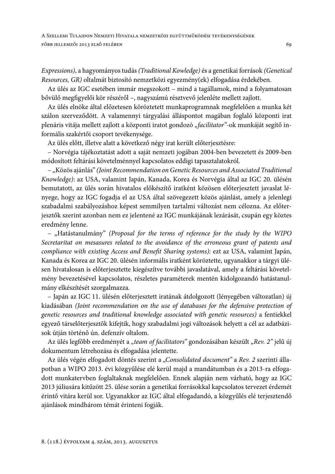Expressions), a hagyományos tudás (Traditional Kowledge) és a genetikai források (Genetical Resources, GR) oltalmát biztosító nemzetközi egyezmény(ek) elfogadása érdekében.

Az ülés az IGC esetében immár megszokott – mind a tagállamok, mind a folyamatosan bővülő megfigyelői kör részéről –, nagyszámú résztvevő jelenléte mellett zajlott.

Az ülés elnöke által előzetesen köröztetett munkaprogramnak megfelelően a munka két szálon szerveződött. A valamennyi tárgyalási álláspontot magában foglaló központi irat plenáris vitája mellett zajlott a központi iratot gondozó "facilitator"-ok munkáját segítő informális szakértői csoport tevékenysége.

Az ülés előtt, illetve alatt a következő négy irat került előterjesztésre:

- Norvégia tájékoztatást adott a saját nemzeti jogában 2004-ben bevezetett és 2009-ben módosított feltárási követelménnyel kapcsolatos eddigi tapasztalatokról.

- "Közös ajánlás" (Joint Recommendation on Genetic Resources and Associated Traditional Knowledge): az USA, valamint Japán, Kanada, Korea és Norvégia által az IGC 20. ülésén bemutatott, az ülés során hivatalos előkészítő iratként közösen előterjesztett javaslat lényege, hogy az IGC fogadja el az USA által szövegezett közös ajánlást, amely a jelenlegi szabadalmi szabályozáshoz képest semmilyen tartalmi változást nem célozna. Az előterjesztők szerint azonban nem ez jelentené az IGC munkájának lezárását, csupán egy köztes eredmény lenne.

- "Hatástanulmány" (Proposal for the terms of reference for the study by the WIPO Secretaritat on mesasures related to the avoidance of the erroneous grant of patents and compliance with existing Access and Benefit Sharing systems): ezt az USA, valamint Japán, Kanada és Korea az IGC 20. ülésén informális iratként köröztette, ugyanakkor a tárgyi ülésen hivatalosan is előterjesztette kiegészítve további javaslatával, amely a feltárási követelmény bevezetésével kapcsolatos, részletes paraméterek mentén kidolgozandó hatástanulmány elkészítését szorgalmazza.

- Japán az IGC 11. ülésén előterjesztett iratának átdolgozott (lényegében változatlan) új kiadásában (Joint recommendation on the use of databases for the defensive protection of genetic resources and traditional knowledge associated with genetic resources) a fentiekkel egyező társelőterjesztők kifejtik, hogy szabadalmi jogi változások helyett a cél az adatbázisok útján történő ún. defenzív oltalom.

Az ülés legfőbb eredményét a "team of facilitators" gondozásában készült "Rev. 2" jelű új dokumentum létrehozása és elfogadása jelentette.

Az ülés végén elfogadott döntés szerint a "Consolidated document" a Rev. 2 szerinti állapotban a WIPO 2013. évi közgyűlése elé kerül majd a mandátumban és a 2013-ra elfogadott munkatervben foglaltaknak megfelelően. Ennek alapján nem várható, hogy az IGC 2013 júliusára kitűzött 25. ülése során a genetikai forrásokkal kapcsolatos tervezet érdemét érintő vitára kerül sor. Ugyanakkor az IGC által elfogadandó, a közgyűlés elé terjesztendő ajánlások mindhárom témát érinteni fogják.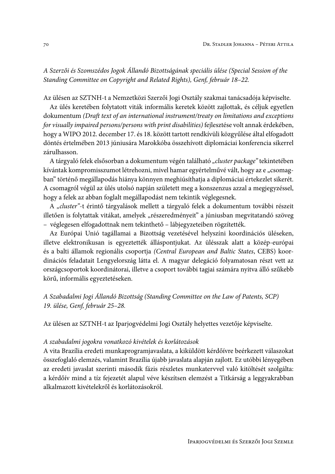A Szerzői és Szomszédos Jogok Állandó Bizottságának speciális ülése (Special Session of the Standing Committee on Copyright and Related Rights), Genf, február 18-22.

Az ülésen az SZTNH-t a Nemzetközi Szerzői Jogi Osztály szakmai tanácsadója képviselte.

Az ülés keretében folytatott viták informális keretek között zajlottak, és céljuk egyetlen dokumentum (Draft text of an international instrument/treaty on limitations and exceptions for visually impaired persons/persons with print disabilities) fejlesztése volt annak érdekében, hogy a WIPO 2012. december 17. és 18. között tartott rendkívüli közgyűlése által elfogadott döntés értelmében 2013 júniusára Marokkóba összehívott diplomáciai konferencia sikerrel zárulhasson.

A tárgyaló felek elsősorban a dokumentum végén található "cluster package" tekintetében kívántak kompromisszumot létrehozni, mivel hamar egyértelművé vált, hogy az e "csomagban" történő megállapodás hiánya könnyen meghiúsíthatja a diplomáciai értekezlet sikerét. A csomagról végül az ülés utolsó napján született meg a konszenzus azzal a megjegyzéssel, hogy a felek az abban foglalt megállapodást nem tekintik véglegesnek.

A "cluster"-t érintő tárgyalások mellett a tárgyaló felek a dokumentum további részeit illetően is folytattak vitákat, amelyek "részeredményeit" a júniusban megvitatandó szöveg - véglegesen elfogadottnak nem tekinthető – lábjegyzeteiben rögzítették.

Az Európai Unió tagállamai a Bizottság vezetésével helyszíni koordinációs üléseken, illetve elektronikusan is egyeztették álláspontjukat. Az ülésszak alatt a közép-európai és a balti államok regionális csoportja (Central European and Baltic States, CEBS) koordinációs feladatait Lengyelország látta el. A magyar delegáció folyamatosan részt vett az országcsoportok koordinátorai, illetve a csoport további tagjai számára nyitva álló szűkebb körű, informális egyeztetéseken.

A Szabadalmi Jogi Állandó Bizottság (Standing Committee on the Law of Patents, SCP) 19. ülése, Genf, február 25-28.

Az ülésen az SZTNH-t az Iparjogyédelmi Jogi Osztály helyettes vezetője képviselte.

#### A szabadalmi jogokra vonatkozó kivételek és korlátozások

A vita Brazília eredeti munkaprogramjavaslata, a kiküldött kérdőívre beérkezett válaszokat összefoglaló elemzés, valamint Brazília újabb javaslata alapján zajlott. Ez utóbbi lényegében az eredeti javaslat szerinti második fázis részletes munkatervvel való kitöltését szolgálta: a kérdőív mind a tíz fejezetét alapul véve készítsen elemzést a Titkárság a leggyakrabban alkalmazott kivételekről és korlátozásokról.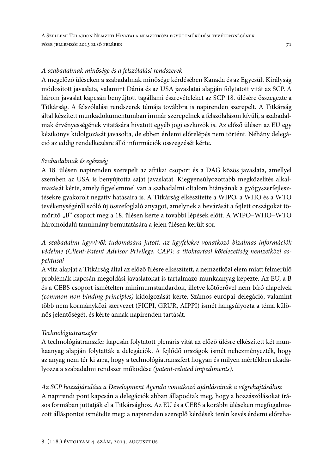### A szabadalmak minősége és a felszólalási rendszerek

A megelőző üléseken a szabadalmak minősége kérdésében Kanada és az Egyesült Királyság módosított javaslata, valamint Dánia és az USA javaslatai alapján folytatott vitát az SCP. A három javaslat kapcsán benyújtott tagállami észrevételeket az SCP 18. ülésére összegezte a Titkárság. A felszólalási rendszerek témája továbbra is napirenden szerepelt. A Titkárság által készített munkadokumentumban immár szerepelnek a felszólaláson kívüli, a szabadalmak érvényességének vitatására hivatott egyéb jogi eszközök is. Az előző ülésen az EU egy kézikönyv kidolgozását javasolta, de ebben érdemi előrelépés nem történt. Néhány delegáció az eddig rendelkezésre álló információk összegzését kérte.

### Szabadalmak és egészség

A 18. ülésen napirenden szerepelt az afrikai csoport és a DAG közös javaslata, amellyel szemben az USA is benyújtotta saját javaslatát. Kiegyensúlyozottabb megközelítés alkalmazását kérte, amely figyelemmel van a szabadalmi oltalom hiányának a gyógyszerfejlesztésekre gyakorolt negatív hatásaira is. A Titkárság elkészítette a WIPO, a WHO és a WTO tevékenységéről szóló új összefoglaló anyagot, amelynek a bevárását a fejlett országokat tömörítő "B" csoport még a 18. ülésen kérte a további lépések előtt. A WIPO-WHO-WTO háromoldalú tanulmány bemutatására a jelen ülésen került sor.

A szabadalmi ügyvivők tudomására jutott, az ügyfelekre vonatkozó bizalmas információk védelme (Client-Patent Advisor Privilege, CAP); a titoktartási kötelezettség nemzetközi aspektusai

A vita alapját a Titkárság által az előző ülésre elkészített, a nemzetközi elem miatt felmerülő problémák kapcsán megoldási javaslatokat is tartalmazó munkaanyag képezte. Az EU, a B és a CEBS csoport ismételten minimumstandardok, illetve kötőerővel nem bíró alapelvek (common non-binding principles) kidolgozását kérte. Számos európai delegáció, valamint több nem kormányközi szervezet (FICPI, GRUR, AIPPI) ismét hangsúlyozta a téma különös jelentőségét, és kérte annak napirenden tartását.

### Technológiatranszfer

A technológiatranszfer kapcsán folytatott plenáris vitát az előző ülésre elkészített két munkaanyag alapján folytatták a delegációk. A fejlődő országok ismét nehezményezték, hogy az anyag nem tér ki arra, hogy a technológiatranszfert hogyan és milyen mértékben akadályozza a szabadalmi rendszer működése (patent-related impediments).

Az SCP hozzájárulása a Development Agenda vonatkozó ajánlásainak a végrehajtásához A napirendi pont kapcsán a delegációk abban állapodtak meg, hogy a hozzászólásokat írásos formában juttatják el a Titkársághoz. Az EU és a CEBS a korábbi üléseken megfogalmazott álláspontot ismételte meg: a napirenden szereplő kérdések terén kevés érdemi előreha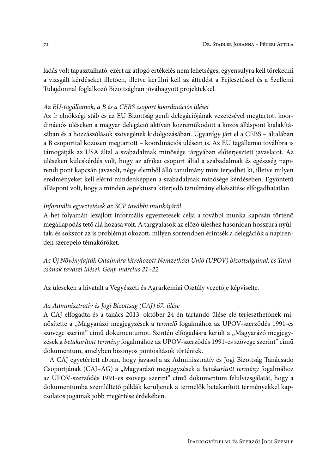ladás volt tapasztalható, ezért az átfogó értékelés nem lehetséges; egyensúlyra kell törekedni a vizsgált kérdéseket illetően, illetve kerülni kell az átfedést a Fejlesztéssel és a Szellemi Tulajdonnal foglalkozó Bizottságban jóváhagyott projektekkel.

#### Az EU-tagállamok, a B és a CEBS csoport koordinációs ülései

Az ír elnökségi stáb és az EU Bizottság genfi delegációjának vezetésével megtartott koordinációs üléseken a magyar delegáció aktívan közreműködött a közös álláspont kialakításában és a hozzászólások szövegének kidolgozásában. Ugyanígy járt el a CEBS – általában a B csoporttal közösen megtartott - koordinációs ülésein is. Az EU tagállamai továbbra is támogatják az USA által a szabadalmak minősége tárgyában előterjesztett javaslatot. Az üléseken kulcskérdés volt, hogy az afrikai csoport által a szabadalmak és egészség napirendi pont kapcsán javasolt, négy elemből álló tanulmány mire terjedhet ki, illetve milyen eredményeket kell elérni mindenképpen a szabadalmak minősége kérdésében. Egyöntetű álláspont volt, hogy a minden aspektusra kiterjedő tanulmány elkészítése elfogadhatatlan.

### Informális egyeztetések az SCP további munkájáról

A hét folyamán lezajlott informális egyeztetések célja a további munka kapcsán történő megállapodás tető alá hozása volt. A tárgyalások az előző üléshez hasonlóan hosszúra nyúltak, és sokszor az is problémát okozott, milyen sorrendben érintsék a delegációk a napirenden szerepelő témaköröket.

Az Új Növényfajták Oltalmára létrehozott Nemzetközi Unió (UPOV) bizottságainak és Tanácsának tavaszi ülései, Genf, március 21-22.

Az üléseken a hivatalt a Vegyészeti és Agrárkémiai Osztály vezetője képviselte.

#### Az Adminisztratív és Jogi Bizottság (CAJ) 67. ülése

A CAJ elfogadta és a tanács 2013. október 24-én tartandó ülése elé terjeszthetőnek minősítette a "Magyarázó megjegyzések a *termelő* fogalmához az UPOV-szerződés 1991-es szövege szerint" című dokumentumot. Szintén elfogadásra került a "Magyarázó megjegyzések a betakarított termény fogalmához az UPOV-szerződés 1991-es szövege szerint" című dokumentum, amelyben bizonyos pontosítások történtek.

A CAJ egyetértett abban, hogy javasolja az Adminisztratív és Jogi Bizottság Tanácsadó Csoportjának (CAJ-AG) a "Magyarázó megjegyzések a betakarított termény fogalmához az UPOV-szerződés 1991-es szövege szerint" című dokumentum felülvizsgálatát, hogy a dokumentumba szemléltető példák kerüljenek a termelők betakarított terményekkel kapcsolatos jogainak jobb megértése érdekében.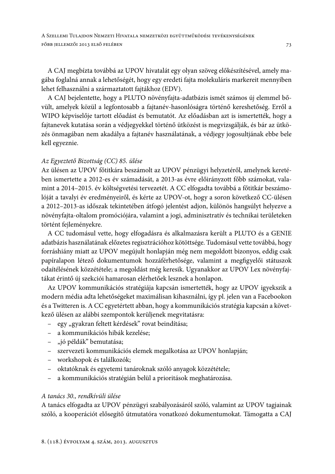A CAJ megbízta továbbá az UPOV hivatalát egy olyan szöveg előkészítésével, amely magába foglalná annak a lehetőségét, hogy egy eredeti fajta molekuláris markereit mennyiben lehet felhasználni a származtatott fajtákhoz (EDV).

A CAJ bejelentette, hogy a PLUTO növényfajta-adatbázis ismét számos új elemmel bővült, amelyek közül a legfontosabb a fajtanév-hasonlóságra történő kereshetőség. Erről a WIPO képviselője tartott előadást és bemutatót. Az előadásban azt is ismertették, hogy a fajtanevek kutatása során a védjegyekkel történő ütközést is megvizsgálják, és bár az ütközés önmagában nem akadálya a fajtanév használatának, a védjegy jogosultjának ebbe bele kell egyeznie.

### Az Egyeztető Bizottság (CC) 85. ülése

Az ülésen az UPOV főtitkára beszámolt az UPOV pénzügyi helyzetéről, amelynek keretében ismertette a 2012-es év számadását, a 2013-as évre előirányzott főbb számokat, valamint a 2014-2015. év költségvetési tervezetét. A CC elfogadta továbbá a főtitkár beszámolóját a tavalyi év eredményeiről, és kérte az UPOV-ot, hogy a soron következő CC-ülésen a 2012–2013-as időszak tekintetében átfogó jelentést adjon, különös hangsúlyt helyezve a növényfajta-oltalom promóciójára, valamint a jogi, adminisztratív és technikai területeken történt fejleményekre.

A CC tudomásul vette, hogy elfogadásra és alkalmazásra került a PLUTO és a GENIE adatbázis használatának előzetes regisztrációhoz kötöttsége. Tudomásul vette továbbá, hogy forráshiány miatt az UPOV megújult honlapján még nem megoldott bizonyos, eddig csak papíralapon létező dokumentumok hozzáférhetősége, valamint a megfigyelői státuszok odaítélésének közzététele; a megoldást még keresik. Ugyanakkor az UPOV Lex növényfajtákat érintő új szekciói hamarosan elérhetőek lesznek a honlapon.

Az UPOV kommunikációs stratégiája kapcsán ismertették, hogy az UPOV igyekszik a modern média adta lehetőségeket maximálisan kihasználni, így pl. jelen van a Facebookon és a Twitteren is. A CC egyetértett abban, hogy a kommunikációs stratégia kapcsán a következő ülésen az alábbi szempontok kerüljenek megvitatásra:

- egy "gyakran feltett kérdések" rovat beindítása;
- a kommunikációs hibák kezelése;
- "jó példák" bemutatása;
- szervezeti kommunikációs elemek megalkotása az UPOV honlapján;
- workshopok és találkozók;
- oktatóknak és egyetemi tanároknak szóló anyagok közzététele;
- a kommunikációs stratégián belül a prioritások meghatározása.

### A tanács 30., rendkívüli ülése

A tanács elfogadta az UPOV pénzügyi szabályozásáról szóló, valamint az UPOV tagjainak szóló, a kooperációt elősegítő útmutatóra vonatkozó dokumentumokat. Támogatta a CAJ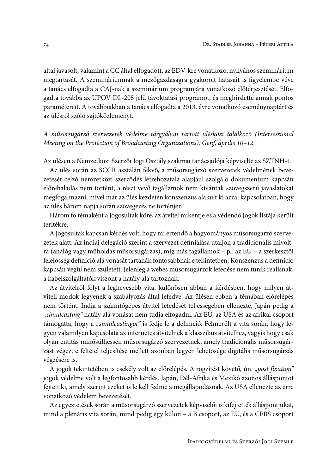által javasolt, valamint a CC által elfogadott, az EDV-kre vonatkozó, nyilvános szeminárium megtartását. A szemináriumnak a mezőgazdaságra gyakorolt hatásait is figyelembe véve a tanács elfogadta a CAJ-nak a szeminárium programjára vonatkozó előterjesztését. Elfogadta továbbá az UPOV DL-205 jelű távoktatási programot, és meghirdette annak pontos paramétereit. A továbbiakban a tanács elfogadta a 2013. évre vonatkozó eseménynaptárt és az ülésről szóló sajtóközleményt.

### A műsorsugárzó szervezetek védelme tárgyában tartott ülésközi találkozó (Intersessional Meeting on the Protection of Broadcasting Organizations), Genf, április 10-12.

Az ülésen a Nemzetközi Szerzői Jogi Osztály szakmai tanácsadója képviselte az SZTNH-t.

Az ülés során az SCCR asztalán fekvő, a műsorsugárzó szervezetek védelmének bevezetését célzó nemzetközi szerződés létrehozatala alapjául szolgáló dokumentum kapcsán előrehaladás nem történt, a részt vevő tagállamok nem kívántak szövegszerű javaslatokat megfogalmazni, mivel már az ülés kezdetén konszenzus alakult ki azzal kapcsolatban, hogy az ülés három napja során szövegezés ne történjen.

Három fő témaként a jogosultak köre, az átvitel mikéntje és a védendő jogok listája került terítékre.

A jogosultak kapcsán kérdés volt, hogy mi értendő a hagyományos műsorsugárzó szervezetek alatt. Az indiai delegáció szerint a szervezet definiálása utaljon a tradicionális mivoltra (analóg vagy műholdas műsorsugárzás), míg más tagállamok – pl. az EU – a szerkesztői felelősség definíció alá vonását tartanák fontosabbnak e tekintetben. Konszenzus a definíció kapcsán végül nem született. Jelenleg a webes műsorsugárzók lefedése nem tűnik reálisnak, a kábelszolgáltatók viszont a hatály alá tartoznak.

Az átvitelről folyt a leghevesebb vita, különösen abban a kérdésben, hogy milyen átviteli módok legyenek a szabályozás által lefedve. Az ülésen ebben a témában előrelépés nem történt. India a számítógépes átvitel lefedését teljességében ellenezte, Japán pedig a "simulcasting" hatály alá vonását nem tudja elfogadni. Az EU, az USA és az afrikai csoport támogatta, hogy a "simulcastingot" is fedje le a definíció. Felmerült a vita során, hogy legyen valamilyen kapcsolata az internetes átvitelnek a klasszikus átvitelhez, vagyis hogy csak olyan entitás minősülhessen műsorsugárzó szervezetnek, amely tradicionális műsorsugárzást végez, e feltétel teljesítése mellett azonban legyen lehetősége digitális műsorsugárzás végzésére is.

A jogok tekintetében is csekély volt az előrelépés. A rögzítést követő, ún. "post fixation" jogok védelme volt a legfontosabb kérdés. Japán, Dél-Afrika és Mexikó azonos álláspontot fejtett ki, amely szerint ezeket is le kell fednie a megállapodásnak. Az USA ellenezte az erre vonatkozó védelem bevezetését.

Az egyeztetések során a műsorsugárzó szervezetek képviselői is kifejtették álláspontjukat, mind a plenáris vita során, mind pedig egy külön - a B csoport, az EU, és a CEBS csoport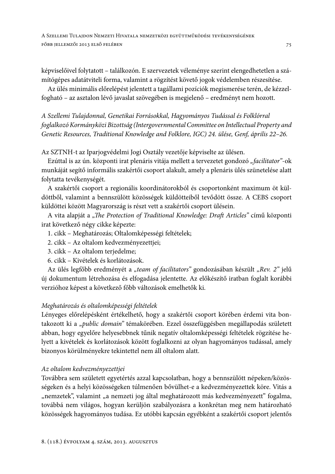képviselőivel folytatott – találkozón. E szervezetek véleménye szerint elengedhetetlen a számítógépes adatátviteli forma, valamint a rögzítést követő jogok védelemben részesítése.

Az ülés minimális előrelépést jelentett a tagállami pozíciók megismerése terén, de kézzelfogható – az asztalon lévő javaslat szövegében is megjelenő – eredményt nem hozott.

A Szellemi Tulajdonnal, Genetikai Forrásokkal, Hagyományos Tudással és Folklórral foglalkozó Kormányközi Bizottság (Intergovernmental Committee on Intellectual Property and Genetic Resources, Traditional Knowledge and Folklore, IGC) 24. ülése, Genf, április 22-26.

Az SZTNH-t az Iparjogvédelmi Jogi Osztály vezetője képviselte az ülésen.

Ezúttal is az ún. központi irat plenáris vitája mellett a tervezetet gondozó "facilitator"-ok munkáját segítő informális szakértői csoport alakult, amely a plenáris ülés szünetelése alatt folytatta tevékenységét.

A szakértői csoport a regionális koordinátorokból és csoportonként maximum öt küldöttből, valamint a bennszülött közösségek küldötteiből tevődött össze. A CEBS csoport küldöttei között Magyarország is részt vett a szakértői csoport ülésein.

A vita alapját a "The Protection of Traditional Knowledge: Draft Articles" című központi irat következő négy cikke képezte:

- 1. cikk Meghatározás; Oltalomképességi feltételek;
- 2. cikk Az oltalom kedvezményezettjei;
- 3. cikk Az oltalom terjedelme;
- 6. cikk Kivételek és korlátozások.

Az ülés legfőbb eredményét a "team of facilitators" gondozásában készült "Rev. 2" jelű új dokumentum létrehozása és elfogadása jelentette. Az előkészítő iratban foglalt korábbi verzióhoz képest a következő főbb változások emelhetők ki.

## Meghatározás és oltalomképességi feltételek

Lényeges előrelépésként értékelhető, hogy a szakértői csoport körében érdemi vita bontakozott ki a "public domain" témakörében. Ezzel összefüggésben megállapodás született abban, hogy egyelőre helyesebbnek tűnik negatív oltalomképességi feltételek rögzítése helyett a kivételek és korlátozások között foglalkozni az olyan hagyományos tudással, amely bizonyos körülményekre tekintettel nem áll oltalom alatt.

### Az oltalom kedvezményezettjei

Továbbra sem született egyetértés azzal kapcsolatban, hogy a bennszülött népeken/közösségeken és a helyi közösségeken túlmenően bővülhet-e a kedvezményezettek köre. Vitás a "nemzetek", valamint "a nemzeti jog által meghatározott más kedvezményezett" fogalma, továbbá nem világos, hogyan kerüljön szabályozásra a konkrétan meg nem határozható közösségek hagyományos tudása. Ez utóbbi kapcsán egyébként a szakértői csoport jelentős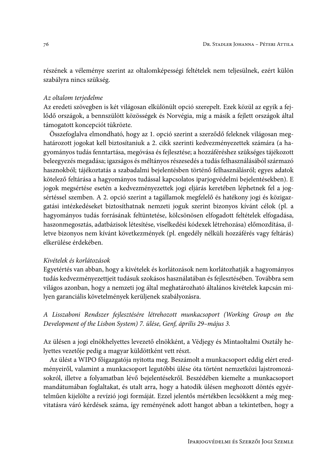részének a véleménye szerint az oltalomképességi feltételek nem teljesülnek, ezért külön szabályra nincs szükség.

#### Az oltalom terjedelme

Az eredeti szövegben is két világosan elkülönült opció szerepelt. Ezek közül az egyik a fejlődő országok, a bennszülött közösségek és Norvégia, míg a másik a fejlett országok által támogatott koncepciót tükrözte.

Összefoglalva elmondható, hogy az 1. opció szerint a szerződő feleknek világosan meghatározott jogokat kell biztosítaniuk a 2. cikk szerinti kedvezményezettek számára (a hagyományos tudás fenntartása, megóvása és fejlesztése; a hozzáféréshez szükséges tájékozott beleegyezés megadása; igazságos és méltányos részesedés a tudás felhasználásából származó hasznokból; tájékoztatás a szabadalmi bejelentésben történő felhasználásról; egyes adatok kötelező feltárása a hagyományos tudással kapcsolatos iparjogyédelmi bejelentésekben). E jogok megsértése esetén a kedvezményezettek jogi eljárás keretében léphetnek fel a jogsértéssel szemben. A 2. opció szerint a tagállamok megfelelő és hatékony jogi és közigazgatási intézkedéseket biztosíthatnak nemzeti joguk szerint bizonyos kívánt célok (pl. a hagyományos tudás forrásának feltüntetése, kölcsönösen elfogadott feltételek elfogadása, haszonmegosztás, adatbázisok létesítése, viselkedési kódexek létrehozása) előmozdítása, illetve bizonyos nem kívánt következmények (pl. engedély nélküli hozzáférés vagy feltárás) elkerülése érdekében.

#### Kivételek és korlátozások

Egyetértés van abban, hogy a kivételek és korlátozások nem korlátozhatják a hagyományos tudás kedvezményezettjeit tudásuk szokásos használatában és fejlesztésében. Továbbra sem világos azonban, hogy a nemzeti jog által meghatározható általános kivételek kapcsán milyen garanciális követelmények kerüljenek szabályozásra.

### A Lisszaboni Rendszer fejlesztésére létrehozott munkacsoport (Working Group on the Development of the Lisbon System) 7. ülése, Genf, április 29-május 3.

Az ülésen a jogi elnökhelyettes levezető elnökként, a Védjegy és Mintaoltalmi Osztály helyettes vezetője pedig a magyar küldöttként vett részt.

Az ülést a WIPO főigazgatója nyitotta meg. Beszámolt a munkacsoport eddig elért eredményeiről, valamint a munkacsoport legutóbbi ülése óta történt nemzetközi lajstromozásokról, illetve a folyamatban lévő bejelentésekről. Beszédében kiemelte a munkacsoport mandátumában foglaltakat, és utalt arra, hogy a hatodik ülésen meghozott döntés egyértelműen kijelölte a revízió jogi formáját. Ezzel jelentős mértékben lecsökkent a még megvitatásra váró kérdések száma, így reményének adott hangot abban a tekintetben, hogy a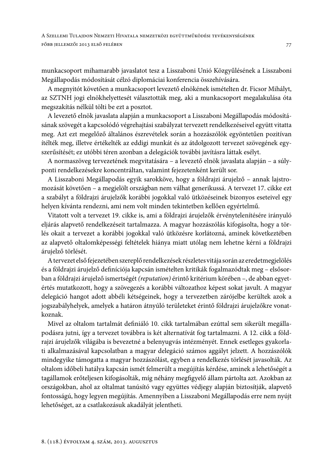munkacsoport mihamarabb javaslatot tesz a Lisszaboni Unió Közgyűlésének a Lisszaboni Megállapodás módosítását célzó diplomáciai konferencia összehívására.

A megnyitót követően a munkacsoport levezető elnökének ismételten dr. Ficsor Mihályt, az SZTNH jogi elnökhelyettesét választották meg, aki a munkacsoport megalakulása óta megszakítás nélkül tölti be ezt a posztot.

A levezető elnök javaslata alapján a munkacsoport a Lisszaboni Megállapodás módosításának szövegét a kapcsolódó végrehajtási szabályzat tervezett rendelkezéseivel együtt vitatta meg. Azt ezt megelőző általános észrevételek során a hozzászólók egyöntetűen pozitívan ítélték meg, illetve értékelték az eddigi munkát és az átdolgozott tervezet szövegének egyszerűsítését; ez utóbbi téren azonban a delegációk további javításra láttak esélyt.

A normaszöveg tervezetének megvitatására - a levezető elnök javaslata alapján - a súlyponti rendelkezésekre koncentráltan, valamint fejezetenként került sor.

A Lisszaboni Megállapodás egyik sarokköve, hogy a földrajzi árujelző – annak lajstromozását követően - a megjelölt országban nem válhat generikussá. A tervezet 17. cikke ezt a szabályt a földrajzi árujelzők korábbi jogokkal való ütközéseinek bizonyos eseteivel egy helyen kívánta rendezni, ami nem volt minden tekintetben kellően egyértelmű.

Vitatott volt a tervezet 19. cikke is, ami a földrajzi árujelzők érvénytelenítésére irányuló eljárás alapvető rendelkezéseit tartalmazza. A magyar hozzászólás kifogásolta, hogy a törlés okait a tervezet a korábbi jogokkal való ütközésre korlátozná, aminek következtében az alapvető oltalomképességi feltételek hiánya miatt utólag nem lehetne kérni a földrajzi árujelző törlését.

A tervezet első fejezetében szereplő rendelkezések részletes vitája során az eredetmegjelölés és a földrajzi árujelző definíciója kapcsán ismételten kritikák fogalmazódtak meg – elsősorban a földrajzi árujelző ismertségét (reputation) érintő kritérium körében -, de abban egyetértés mutatkozott, hogy a szövegezés a korábbi változathoz képest sokat javult. A magyar delegáció hangot adott abbéli kétségeinek, hogy a tervezetben zárójelbe kerültek azok a jogszabályhelyek, amelyek a határon átnyúló területeket érintő földrajzi árujelzőkre vonatkoznak.

Mivel az oltalom tartalmát definiáló 10. cikk tartalmában ezúttal sem sikerült megállapodásra jutni, így a tervezet továbbra is két alternatívát fog tartalmazni. A 12. cikk a földrajzi árujelzők világába is bevezetné a belenyugvás intézményét. Ennek esetleges gyakorlati alkalmazásával kapcsolatban a magyar delegáció számos aggályt jelzett. A hozzászólók mindegyike támogatta a magyar hozzászólást, egyben a rendelkezés törlését javasolták. Az oltalom időbeli hatálya kapcsán ismét felmerült a megújítás kérdése, aminek a lehetőségét a tagállamok erőteljesen kifogásolták, míg néhány megfigyelő állam pártolta azt. Azokban az országokban, ahol az oltalmat tanúsító vagy együttes védjegy alapján biztosítják, alapvető fontosságú, hogy legyen megújítás. Amennyiben a Lisszaboni Megállapodás erre nem nyújt lehetőséget, az a csatlakozásuk akadályát jelentheti.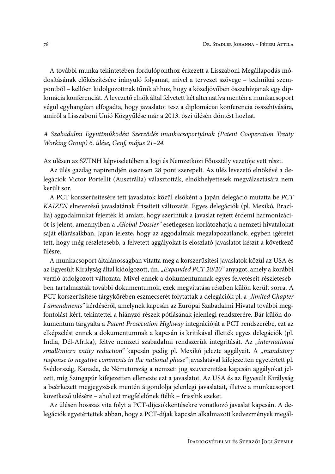A további munka tekintetében fordulóponthoz érkezett a Lisszaboni Megállapodás módosításának előkészítésére irányuló folyamat, mivel a tervezet szövege - technikai szempontból - kellően kidolgozottnak tűnik ahhoz, hogy a közeljövőben összehívjanak egy diplomácia konferenciát. A levezető elnök által felvetett két alternatíva mentén a munkacsoport végül egyhangúan elfogadta, hogy javaslatot tesz a diplomáciai konferencia összehívására, amiről a Lisszaboni Unió Közgyűlése már a 2013. őszi ülésén döntést hozhat.

### A Szabadalmi Együttműködési Szerződés munkacsoportjának (Patent Cooperation Treaty Working Group) 6. ülése, Genf, május 21-24.

Az ülésen az SZTNH képviseletében a Jogi és Nemzetközi Főosztály vezetője vett részt.

Az ülés gazdag napirendjén összesen 28 pont szerepelt. Az ülés levezető elnökévé a delegációk Victor Portellit (Ausztrália) választották, elnökhelyettesek megválasztására nem került sor.

A PCT korszerűsítésére tett javaslatok közül elsőként a Japán delegáció mutatta be PCT KAIZEN elnevezésű javaslatának frissített változatát. Egyes delegációk (pl. Mexikó, Brazília) aggodalmukat fejezték ki amiatt, hogy szerintük a javaslat rejtett érdemi harmonizációt is jelent, amennyiben a "Global Dossier" esetlegesen korlátozhatja a nemzeti hivatalokat saját eljárásaikban. Japán jelezte, hogy az aggodalmak megalapozatlanok, egyben ígéretet tett, hogy még részletesebb, a felvetett aggályokat is eloszlató javaslatot készít a következő ülésre.

A munkacsoport általánosságban vitatta meg a korszerűsítési javaslatok közül az USA és az Egyesült Királyság által kidolgozott, ún. "Expanded PCT 20/20" anyagot, amely a korábbi verzió átdolgozott változata. Mivel ennek a dokumentumnak egyes felvetéseit részletesebben tartalmazták további dokumentumok, ezek megvitatása részben külön került sorra. A PCT korszerűsítése tárgykörében eszmecserét folytattak a delegációk pl. a "limited Chapter I amendments" kérdéséről, amelynek kapcsán az Európai Szabadalmi Hivatal további megfontolást kért, tekintettel a hiányzó részek pótlásának jelenlegi rendszerére. Bár külön dokumentum tárgyalta a Patent Prosecution Highway integrációját a PCT rendszerébe, ezt az elképzelést ennek a dokumentumnak a kapcsán is kritikával illették egyes delegációk (pl. India, Dél-Afrika), féltve nemzeti szabadalmi rendszerük integritását. Az "international small/micro entity reduction" kapcsán pedig pl. Mexikó jelezte aggályait. A "mandatory response to negative comments in the national phase" javaslatával kifejezetten egyetértett pl. Svédország, Kanada, de Németország a nemzeti jog szuverenitása kapcsán aggályokat jelzett, míg Szingapúr kifejezetten ellenezte ezt a javaslatot. Az USA és az Egyesült Királyság a beérkezett megjegyzések mentén átgondolja jelenlegi javaslatait, illetve a munkacsoport következő ülésére – ahol ezt megfelelőnek ítélik – frissítik ezeket.

Az ülésen hosszas vita folyt a PCT-díjcsökkentésekre vonatkozó javaslat kapcsán. A delegációk egyetértettek abban, hogy a PCT-díjak kapcsán alkalmazott kedvezmények megál-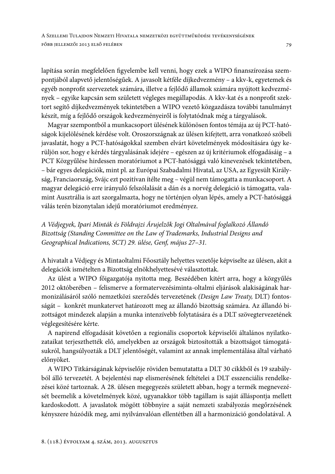lapítása során megfelelően figyelembe kell venni, hogy ezek a WIPO finanszírozása szempontjából alapvető jelentőségűek. A javasolt kétféle díjkedvezmény - a kkv-k, egyetemek és egyéb nonprofit szervezetek számára, illetve a fejlődő államok számára nyújtott kedvezmények - egyike kapcsán sem született végleges megállapodás. A kkv-kat és a nonprofit szektort segítő díjkedvezmények tekintetében a WIPO vezető közgazdásza további tanulmányt készít, míg a fejlődő országok kedvezményeiről is folytatódnak még a tárgyalások.

Magyar szempontból a munkacsoport ülésének különösen fontos témája az új PCT-hatóságok kijelölésének kérdése volt. Oroszországnak az ülésen kifejtett, arra vonatkozó szóbeli javaslatát, hogy a PCT-hatóságokkal szemben elvárt követelmények módosítására úgy kerüljön sor, hogy e kérdés tárgyalásának idejére – egészen az új kritériumok elfogadásáig – a PCT Közgyűlése hirdessen moratóriumot a PCT-hatósággá való kinevezések tekintetében, - bár egyes delegációk, mint pl. az Európai Szabadalmi Hivatal, az USA, az Egyesült Királyság, Franciaország, Svájc ezt pozitívan ítélte meg - végül nem támogatta a munkacsoport. A magyar delegáció erre irányuló felszólalását a dán és a norvég delegáció is támogatta, valamint Ausztrália is azt szorgalmazta, hogy ne történjen olyan lépés, amely a PCT-hatósággá válás terén bizonytalan idejű moratóriumot eredményez.

A Védjegyek, Ipari Minták és Földrajzi Árujelzők Jogi Oltalmával foglalkozó Állandó Bizottság (Standing Committee on the Law of Trademarks, Industrial Designs and Geographical Indications, SCT) 29. ülése, Genf, május 27-31.

A hivatalt a Védjegy és Mintaoltalmi Főosztály helyettes vezetője képviselte az ülésen, akit a delegációk ismételten a Bizottság elnökhelyettesévé választottak.

Az ülést a WIPO főigazgatója nyitotta meg. Beszédében kitért arra, hogy a közgyűlés 2012 októberében - felismerve a formatervezésiminta-oltalmi eljárások alakiságának harmonizálásáról szóló nemzetközi szerződés tervezetének (Design Law Treaty, DLT) fontosságát – konkrét munkatervet határozott meg az állandó bizottság számára. Az állandó bizottságot mindezek alapján a munka intenzívebb folytatására és a DLT szövegtervezetének véglegesítésére kérte.

A napirend elfogadását követően a regionális csoportok képviselői általános nyilatkozataikat terjeszthették elő, amelyekben az országok biztosították a bizottságot támogatásukról, hangsúlyozták a DLT jelentőségét, valamint az annak implementálása által várható előnyöket.

A WIPO Titkárságának képviselője röviden bemutatatta a DLT 30 cikkből és 19 szabályból álló tervezetét. A bejelentési nap elismerésének feltételei a DLT esszenciális rendelkezései közé tartoznak. A 28. ülésen megegyezés született abban, hogy a termék megnevezését beemelik a követelmények közé, ugyanakkor több tagállam is saját álláspontja mellett kardoskodott. A javaslatok mögött többnyire a saját nemzeti szabályozás megőrzésének kényszere húzódik meg, ami nyilvánvalóan ellentétben áll a harmonizáció gondolatával. A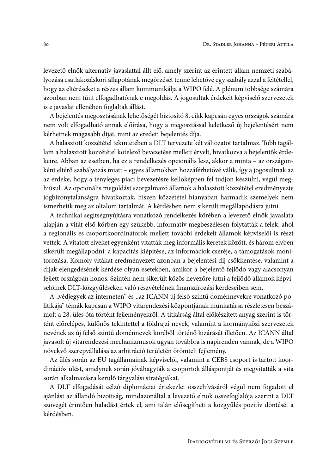levezető elnök alternatív javaslattal állt elő, amely szerint az érintett állam nemzeti szabályozása csatlakozáskori állapotának megőrzését tenné lehetővé egy szabály azzal a feltétellel, hogy az eltéréseket a részes állam kommunikálja a WIPO felé. A plénum többsége számára azonban nem tűnt elfogadhatónak e megoldás. A jogosultak érdekeit képviselő szervezetek is e javaslat ellenében foglaltak állást.

A bejelentés megosztásának lehetőségét biztosító 8. cikk kapcsán egyes országok számára nem volt elfogadható annak előírása, hogy a megosztással keletkező új bejelentésért nem kérhetnek magasabb díjat, mint az eredeti bejelentés díja.

A halasztott közzététel tekintetében a DLT tervezete két változatot tartalmaz. Több tagállam a halasztott közzététel kötelező bevezetése mellett érvelt, hivatkozva a bejelentők érdekeire. Abban az esetben, ha ez a rendelkezés opcionális lesz, akkor a minta - az országonként eltérő szabályozás miatt – egyes államokban hozzáférhetővé válik, így a jogosultnak az az érdeke, hogy a tényleges piaci bevezetésre kellőképpen fel tudjon készülni, végül meghiúsul. Az opcionális megoldást szorgalmazó államok a halasztott közzététel eredményezte jogbizonytalanságra hivatkoztak, hiszen közzététel hiányában harmadik személyek nem ismerhetik meg az oltalom tartalmát. A kérdésben nem sikerült megállapodásra jutni.

A technikai segítségnyújtásra vonatkozó rendelkezés körében a levezető elnök javaslata alapján a vitát első körben egy szűkebb, informatív megbeszélésen folytatták a felek, ahol a regionális és csoportkoordinátorok mellett további érdekelt államok képviselői is részt vettek. A vitatott elveket egyenként vitatták meg informális keretek között, és három elvben sikerült megállapodni: a kapacitás kiépítése, az információk cseréje, a támogatások monitorozása. Komoly vitákat eredményezett azonban a bejelentési díj csökkentése, valamint a díjak elengedésének kérdése olyan esetekben, amikor a bejelentő fejlődő vagy alacsonyan fejlett országban honos. Szintén nem sikerült közös nevezőre jutni a fejlődő államok képviselőinek DLT-közgyűléseken való részvételének finanszírozási kérdéseiben sem.

A "védjegyek az interneten" és "az ICANN új felső szintű doménnevekre vonatkozó politikája" témák kapcsán a WIPO vitarendezési központjának munkatársa részletesen beszámolt a 28. ülés óta történt fejleményekről. A titkárság által előkészített anyag szerint is történt előrelépés, különös tekintettel a földrajzi nevek, valamint a kormányközi szervezetek nevének az új felső szintű doménnevek köréből történő kizárását illetően. Az ICANN által javasolt új vitarendezési mechanizmusok ugyan továbbra is napirenden vannak, de a WIPO növekvő szerepvállalása az arbitráció területén örömteli fejlemény.

Az ülés során az EU tagállamainak képviselői, valamint a CEBS csoport is tartott koordinációs ülést, amelynek során jóváhagyták a csoportok álláspontját és megvitatták a vita során alkalmazásra kerülő tárgyalási stratégiákat.

A DLT elfogadását célzó diplomáciai értekezlet összehívásáról végül nem fogadott el ajánlást az állandó bizottság, mindazonáltal a levezető elnök összefoglalója szerint a DLT szövegét érintően haladást értek el, ami talán elősegítheti a közgyűlés pozitív döntését a kérdésben.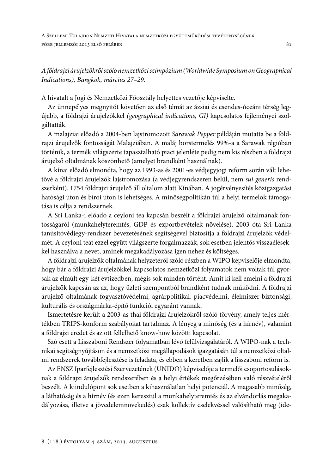A SZELLEMI TULAJDON NEMZETI HIVATALA NEMZETKÖZI EGYÜTTMŰKÖDÉSI TEVÉKENYSÉGÉNEK FŐBB JELLEMZŐI 2013 ELSŐ FELÉBEN

A földrajzi árujelzőkről szóló nemzetközi szimpózium (Worldwide Symposium on Geographical Indications), Bangkok, március 27-29.

A hivatalt a Jogi és Nemzetközi Főosztály helyettes vezetője képviselte.

Az ünnepélyes megnyitót követően az első témát az ázsiai és csendes-óceáni térség legújabb, a földrajzi árujelzőkkel (geographical indications, GI) kapcsolatos fejleményei szolgáltatták.

A malajziai előadó a 2004-ben lajstromozott Sarawak Pepper példáján mutatta be a földrajzi árujelzők fontosságát Malajziában. A maláj borstermelés 99%-a a Sarawak régióban történik, a termék világszerte tapasztalható piaci jelenléte pedig nem kis részben a földrajzi árujelző oltalmának köszönhető (amelyet brandként használnak).

A kínai előadó elmondta, hogy az 1993-as és 2001-es védjegyjogi reform során vált lehetővé a földrajzi árujelzők lajstromozása (a védjegyrendszeren belül, nem sui generis rendszerként). 1754 földrajzi árujelző áll oltalom alatt Kínában. A jogérvényesítés közigazgatási hatósági úton és bírói úton is lehetséges. A minőségpolitikán túl a helyi termelők támogatása is célja a rendszernek.

A Sri Lanka-i előadó a ceyloni tea kapcsán beszélt a földrajzi árujelző oltalmának fontosságáról (munkahelyteremtés, GDP és exportbevételek növelése). 2003 óta Sri Lanka tanúsítóvédjegy-rendszer bevezetésének segítségével biztosítja a földrajzi árujelzők védelmét. A ceyloni teát ezzel együtt világszerte forgalmazzák, sok esetben jelentős visszaélésekkel használva a nevet, aminek megakadályozása igen nehéz és költséges.

A földrajzi árujelzők oltalmának helyzetéről szóló részben a WIPO képviselője elmondta, hogy bár a földrajzi árujelzőkkel kapcsolatos nemzetközi folyamatok nem voltak túl gyorsak az elmúlt egy-két évtizedben, mégis sok minden történt. Amit ki kell emelni a földrajzi árujelzők kapcsán az az, hogy üzleti szempontból brandként tudnak működni. A földrajzi árujelző oltalmának fogyasztóvédelmi, agrárpolitikai, piacvédelmi, élelmiszer-biztonsági, kulturális és országmárka-építő funkciói egyaránt vannak.

Ismertetésre került a 2003-as thai földrajzi árujelzőkről szóló törvény, amely teljes mértékben TRIPS-konform szabályokat tartalmaz. A lényeg a minőség (és a hírnév), valamint a földrajzi eredet és az ott fellelhető know-how közötti kapcsolat.

Szó esett a Lisszaboni Rendszer folyamatban lévő felülvizsgálatáról. A WIPO-nak a technikai segítségnyújtáson és a nemzetközi megállapodások igazgatásán túl a nemzetközi oltalmi rendszerek továbbfejlesztése is feladata, és ebben a keretben zajlik a lisszaboni reform is.

Az ENSZ Iparfejlesztési Szervezetének (UNIDO) képviselője a termelői csoportosulásoknak a földrajzi árujelzők rendszerében és a helyi értékek megőrzésében való részvételéről beszélt. A kiindulópont sok esetben a kihasználatlan helyi potenciál. A magasabb minőség, a láthatóság és a hírnév (és ezen keresztül a munkahelyteremtés és az elvándorlás megakadályozása, illetve a jövedelemnövekedés) csak kollektív cselekvéssel valósítható meg (ide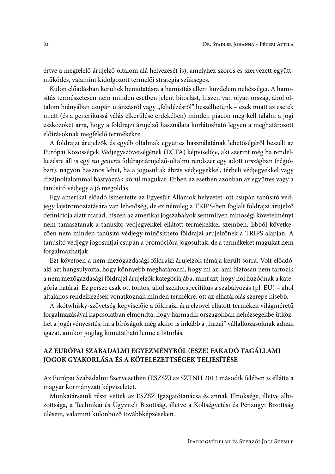értve a megfelelő árujelző oltalom alá helyezését is), amelyhez szoros és szervezett együttműködés, valamint kidolgozott termelői stratégia szükséges.

Külön előadásban kerültek bemutatásra a hamisítás elleni küzdelem nehézségei. A hamisítás természetesen nem minden esetben jelent bitorlást, hiszen van olyan ország, ahol oltalom hiányában csupán utánzásról vagy "felidézésről" beszélhetünk – ezek miatt az esetek miatt (és a generikussá válás elkerülése érdekében) minden piacon meg kell találni a jogi eszközöket arra, hogy a földrajzi árujelző használata korlátozható legyen a meghatározott előírásoknak megfelelő termékekre.

A földrajzi árujelzők és egyéb oltalmak együttes használatának lehetőségéről beszélt az Európai Közösségek Védjegyszövetségének (ECTA) képviselője, aki szerint még ha rendelkezésre áll is egy sui generis földrajziárujelző-oltalmi rendszer egy adott országban (régióban), nagyon hasznos lehet, ha a jogosultak ábrás védjegyekkel, térbeli védjegyekkel vagy dizájnoltalommal bástyázzák körül magukat. Ebben az esetben azonban az együttes vagy a tanúsító védjegy a jó megoldás.

Egy amerikai előadó ismertette az Egyesült Államok helyzetét: ott csupán tanúsító védjegy lajstromoztatására van lehetőség, de ez némileg a TRIPS-ben foglalt földrajzi árujelző definíciója alatt marad, hiszen az amerikai jogszabályok semmilyen minőségi követelményt nem támasztanak a tanúsító védjegyekkel ellátott termékekkel szemben. Ebből következően nem minden tanúsító védjegy minősíthető földrajzi árujelzőnek a TRIPS alapján. A tanúsító védjegy jogosultjai csupán a promócióra jogosultak, de a termékeket magukat nem forgalmazhatják.

Ezt követően a nem mezőgazdasági földrajzi árujelzők témája került sorra. Volt előadó, aki azt hangsúlyozta, hogy könnyebb meghatározni, hogy mi az, ami biztosan nem tartozik a nem mezőgazdasági földrajzi árujelzők kategóriájába, mint azt, hogy hol húzódnak a kategória határai. Ez persze csak ott fontos, ahol szektorspecifikus a szabályozás (pl. EU) – ahol általános rendelkezések vonatkoznak minden termékre, ott az elhatárolás szerepe kisebb.

A skótwhisky-szövetség képviselője a földrajzi árujelzővel ellátott termékek világméretű forgalmazásával kapcsolatban elmondta, hogy harmadik országokban nehézségekbe ütközhet a jogérvényesítés, ha a bíróságok még akkor is inkább a "hazai" vállalkozásoknak adnak igazat, amikor jogilag kimutatható lenne a bitorlás.

## AZ EURÓPAI SZABADALMI EGYEZMÉNYBŐL (ESZE) FAKADÓ TAGÁLLAMI JOGOK GYAKORLÁSA ÉS A KÖTELEZETTSÉGEK TELJESÍTÉSE

Az Európai Szabadalmi Szervezetben (ESZSZ) az SZTNH 2013 második felében is ellátta a magyar kormányzati képviseletet.

Munkatársaink részt vettek az ESZSZ Igazgatótanácsa és annak Elnöksége, illetve albizottsága, a Technikai és Ügyviteli Bizottság, illetve a Költségvetési és Pénzügyi Bizottság ülésein, valamint különböző továbbképzéseken.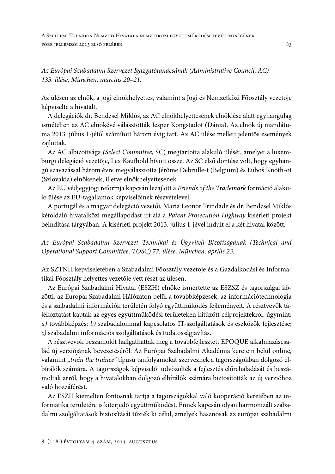A SZELLEMI TULAJDON NEMZETI HIVATALA NEMZETKÖZI EGYÜTTMŰKÖDÉSI TEVÉKENYSÉGÉNEK FŐBB JELLEMZŐI 2013 ELSŐ FELÉBEN

Az Európai Szabadalmi Szervezet Igazgatótanácsának (Administrative Council, AC) 135. ülése, München, március 20-21.

Az ülésen az elnök, a jogi elnökhelyettes, valamint a Jogi és Nemzetközi Főosztály vezetője képviselte a hivatalt.

A delegációk dr. Bendzsel Miklós, az AC elnökhelyettesének elnöklése alatt egyhangúlag ismételten az AC elnökévé választották Jesper Kongstadot (Dánia). Az elnök új mandátuma 2013. július 1-jétől számított három évig tart. Az AC ülése mellett jelentős események zajlottak.

Az AC albizottsága (Select Committee, SC) megtartotta alakuló ülését, amelyet a luxemburgi delegáció vezetője, Lex Kaufhold hívott össze. Az SC első döntése volt, hogy egyhangú szavazással három évre megválasztotta Jérôme Debrulle-t (Belgium) és Ľuboš Knoth-ot (Szlovákia) elnökének, illetve elnökhelyettesének.

Az EU védjegyjogi reformja kapcsán lezajlott a Friends of the Trademark formáció alakuló ülése az EU-tagállamok képviselőinek részvételével.

A portugál és a magyar delegáció vezetői, Maria Leonor Trindade és dr. Bendzsel Miklós kétoldalú hivatalközi megállapodást írt alá a Patent Prosecution Highway kísérleti projekt beindítása tárgyában. A kísérleti projekt 2013. július 1-jével indult el a két hivatal között.

Az Európai Szabadalmi Szervezet Technikai és Ügyviteli Bizottságának (Technical and Operational Support Committee, TOSC) 77. ülése, München, április 23.

Az SZTNH képviseletében a Szabadalmi Főosztály vezetője és a Gazdálkodási és Informatikai Főosztály helyettes vezetője vett részt az ülésen.

Az Európai Szabadalmi Hivatal (ESZH) elnöke ismertette az ESZSZ és tagországai közötti, az Európai Szabadalmi Hálózaton belül a továbbképzések, az információtechnológia és a szabadalmi információk területén folyó együttműködés fejleményeit. A résztvevők tájékoztatást kaptak az egyes együttműködési területeken kitűzött célprojektekről, úgymint: a) továbbképzés; b) szabadalommal kapcsolatos IT-szolgáltatások és eszközök fejlesztése; c) szabadalmi információs szolgáltatások és tudatosságjavítás.

A résztvevők beszámolót hallgathattak meg a továbbfejlesztett EPOQUE alkalmazáscsalád új verziójának bevezetéséről. Az Európai Szabadalmi Akadémia keretein belül online, valamint "train the trainee" típusú tanfolyamokat szerveznek a tagországokban dolgozó elbírálók számára. A tagországok képviselői üdvözölték a fejlesztés előrehaladását és beszámoltak arról, hogy a hivatalokban dolgozó elbírálók számára biztosították az új verzióhoz való hozzáférést.

Az ESZH kiemelten fontosnak tartja a tagországokkal való kooperáció keretében az informatika területére is kiterjedő együttműködést. Ennek kapcsán olyan harmonizált szabadalmi szolgáltatások biztosítását tűzték ki célul, amelyek hasznosak az európai szabadalmi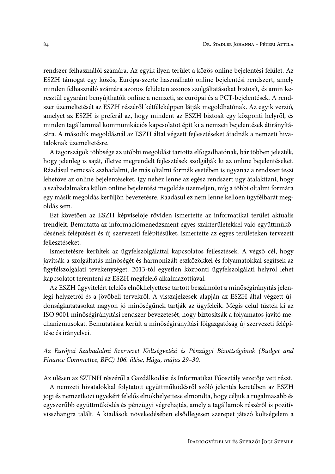rendszer felhasználói számára. Az egyik ilyen terület a közös online bejelentési felület. Az ESZH támogat egy közös, Európa-szerte használható online bejelentési rendszert, amely minden felhasználó számára azonos felületen azonos szolgáltatásokat biztosít, és amin keresztül egyaránt benyújthatók online a nemzeti, az európai és a PCT-bejelentések. A rendszer üzemeltetését az ESZH részéről kétféleképpen látják megoldhatónak. Az egyik verzió, amelyet az ESZH is preferál az, hogy mindent az ESZH biztosít egy központi helyről, és minden tagállammal kommunikációs kapcsolatot épít ki a nemzeti bejelentések átirányítására. A második megoldásnál az ESZH által végzett fejlesztéseket átadnák a nemzeti hivataloknak üzemeltetésre.

A tagországok többsége az utóbbi megoldást tartotta elfogadhatónak, bár többen jelezték, hogy jelenleg is saját, illetve megrendelt fejlesztések szolgálják ki az online bejelentéseket. Ráadásul nemcsak szabadalmi, de más oltalmi formák esetében is ugyanaz a rendszer teszi lehetővé az online bejelentéseket, így nehéz lenne az egész rendszert úgy átalakítani, hogy a szabadalmakra külön online bejelentési megoldás üzemeljen, míg a többi oltalmi formára egy másik megoldás kerüljön bevezetésre. Ráadásul ez nem lenne kellően ügyfélbarát megoldás sem.

Ezt követően az ESZH képviselője röviden ismertette az informatikai terület aktuális trendjeit. Bemutatta az információmenedzsment egyes szakterületekkel való együttműködésének felépítését és új szervezeti felépítésüket, ismertette az egyes területeken tervezett fejlesztéseket.

Ismertetésre kerültek az ügyfélszolgálattal kapcsolatos fejlesztések. A végső cél, hogy javítsák a szolgáltatás minőségét és harmonizált eszközökkel és folyamatokkal segítsék az ügyfélszolgálati tevékenységet. 2013-tól egyetlen központi ügyfélszolgálati helyről lehet kapcsolatot teremteni az ESZH megfelelő alkalmazottjával.

Az ESZH ügyvitelért felelős elnökhelyettese tartott beszámolót a minőségirányítás jelenlegi helyzetről és a jövőbeli tervekről. A visszajelzések alapján az ESZH által végzett újdonságkutatásokat nagyon jó minőségűnek tartják az ügyfeleik. Mégis célul tűzték ki az ISO 9001 minőségirányítási rendszer bevezetését, hogy biztosítsák a folyamatos javító mechanizmusokat. Bemutatásra került a minőségirányítási főigazgatóság új szervezeti felépítése és irányelvei.

Az Európai Szabadalmi Szervezet Költségvetési és Pénzügyi Bizottságának (Budget and Finance Commettee, BFC) 106. ülése, Hága, május 29-30.

Az ülésen az SZTNH részéről a Gazdálkodási és Informatikai Főosztály vezetője vett részt.

A nemzeti hivatalokkal folytatott együttműködésről szóló jelentés keretében az ESZH jogi és nemzetközi ügyekért felelős elnökhelyettese elmondta, hogy céljuk a rugalmasabb és egyszerűbb együttműködés és pénzügyi végrehajtás, amely a tagállamok részéről is pozitív visszhangra talált. A kiadások növekedésében elsődlegesen szerepet játszó költségelem a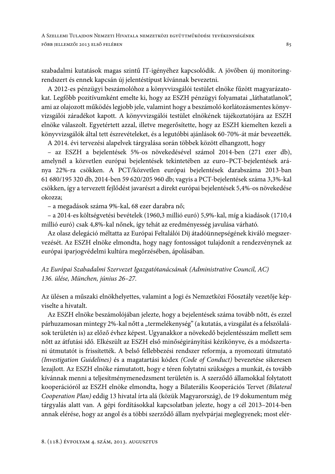A SZELLEMI TULAJDON NEMZETI HIVATALA NEMZETKÖZI EGYÜTTMŰKÖDÉSI TEVÉKENYSÉGÉNEK FŐBB JELLEMZŐI 2013 ELSŐ FELÉBEN

szabadalmi kutatások magas szintű IT-igényéhez kapcsolódik. A jövőben új monitoringrendszert és ennek kapcsán új jelentéstípust kívánnak bevezetni.

A 2012-es pénzügyi beszámolóhoz a könyvvizsgálói testület elnöke fűzött magyarázatokat. Legfőbb pozitívumként emelte ki, hogy az ESZH pénzügyi folyamatai "láthatatlanok", ami az olajozott működés legjobb jele, valamint hogy a beszámoló korlátozásmentes könyvvizsgálói záradékot kapott. A könyvvizsgálói testület elnökének tájékoztatójára az ESZH elnöke válaszolt. Egyetértett azzal, illetve megerősítette, hogy az ESZH kiemelten kezeli a könyvvizsgálók által tett észrevételeket, és a legutóbbi ajánlások 60-70%-át már bevezették.

A 2014. évi tervezési alapelvek tárgyalása során többek között elhangzott, hogy

- az ESZH a bejelentések 5%-os növekedésével számol 2014-ben (271 ezer db), amelynél a közvetlen európai bejelentések tekintetében az euro-PCT-bejelentések aránya 22%-ra csökken. A PCT/közvetlen európai bejelentések darabszáma 2013-ban 61 680/195 320 db, 2014-ben 59 620/205 960 db; vagyis a PCT-bejelentések száma 3,3%-kal csökken, így a tervezett fejlődést javarészt a direkt európai bejelentések 5,4%-os növekedése okozza:

- a megadások száma 9%-kal, 68 ezer darabra nő;

- a 2014-es költségvetési bevételek (1960,3 millió euró) 5,9%-kal, míg a kiadások (1710,4 millió euró) csak 4,8%-kal nőnek, így tehát az eredményesség javulása várható.

Az olasz delegáció méltatta az Európai Feltalálói Díj átadóünnepségének kiváló megszervezését. Az ESZH elnöke elmondta, hogy nagy fontosságot tulajdonít a rendezvénynek az európai iparjogvédelmi kultúra megőrzésében, ápolásában.

Az Európai Szabadalmi Szervezet Igazgatótanácsának (Administrative Council, AC) 136. ülése, München, június 26-27.

Az ülésen a műszaki elnökhelyettes, valamint a Jogi és Nemzetközi Főosztály vezetője képviselte a hivatalt.

Az ESZH elnöke beszámolójában jelezte, hogy a bejelentések száma tovább nőtt, és ezzel párhuzamosan mintegy 2%-kal nőtt a "termelékenység" (a kutatás, a vizsgálat és a felszólalások területén is) az előző évhez képest. Ugyanakkor a növekedő bejelentésszám mellett sem nőtt az átfutási idő. Elkészült az ESZH első minőségirányítási kézikönyve, és a módszertani útmutatót is frissítették. A belső fellebbezési rendszer reformja, a nyomozati útmutató (Investigation Guidelines) és a magatartási kódex (Code of Conduct) bevezetése sikeresen lezajlott. Az ESZH elnöke rámutatott, hogy e téren folytatni szükséges a munkát, és tovább kívánnak menni a teljesítménymenedzsment területén is. A szerződő államokkal folytatott kooperációról az ESZH elnöke elmondta, hogy a Bilaterális Kooperációs Tervet (Bilateral Cooperation Plan) eddig 13 hivatal írta alá (közük Magyarország), de 19 dokumentum még tárgyalás alatt van. A gépi fordításokkal kapcsolatban jelezte, hogy a cél 2013–2014-ben annak elérése, hogy az angol és a többi szerződő állam nyelvpárjai meglegyenek; most elér-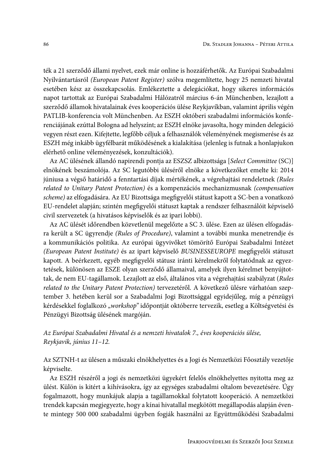ték a 21 szerződő állami nyelvet, ezek már online is hozzáférhetők. Az Európai Szabadalmi Nyilvántartásról (European Patent Register) szólva megemlítette, hogy 25 nemzeti hivatal esetében kész az összekapcsolás. Emlékeztette a delegációkat, hogy sikeres információs napot tartottak az Európai Szabadalmi Hálózatról március 6-án Münchenben, lezajlott a szerződő államok hivatalainak éves kooperációs ülése Reykjavíkban, valamint április végén PATLIB-konferencia volt Münchenben. Az ESZH októberi szabadalmi információs konferenciájának ezúttal Bologna ad helyszínt; az ESZH elnöke javasolta, hogy minden delegáció vegyen részt ezen. Kifejtette, legfőbb céljuk a felhasználók véleményének megismerése és az ESZH még inkább ügyfélbarát működésének a kialakítása (jelenleg is futnak a honlapjukon elérhető online véleményezések, konzultációk).

Az AC ülésének állandó napirendi pontja az ESZSZ albizottsága [Select Committee (SC)] elnökének beszámolója. Az SC legutóbbi üléséről elnöke a következőket emelte ki: 2014 júniusa a végső határidő a fenntartási díjak mértékének, a végrehajtási rendeletnek (Rules related to Unitary Patent Protection) és a kompenzációs mechanizmusnak (compensation scheme) az elfogadására. Az EU Bizottsága megfigyelői státust kapott a SC-ben a vonatkozó EU-rendelet alapján; szintén megfigyelői státuszt kaptak a rendszer felhasználóit képviselő civil szervezetek (a hivatásos képviselők és az ipari lobbi).

Az AC ülését időrendben közvetlenül megelőzte a SC 3. ülése. Ezen az ülésen elfogadásra került a SC ügyrendje (Rules of Procedure), valamint a további munka menetrendje és a kommunikációs politika. Az európai ügyvivőket tömörítő Európai Szabadalmi Intézet (European Patent Institute) és az ipart képviselő BUSINESSEUROPE megfigyelői státuszt kapott. A beérkezett, egyéb megfigyelői státusz iránti kérelmekről folytatódnak az egyeztetések, különösen az ESZE olyan szerződő államaival, amelyek ilyen kérelmet benyújtottak, de nem EU-tagállamok. Lezajlott az első, általános vita a végrehajtási szabályzat (Rules related to the Unitary Patent Protection) tervezetéről. A következő ülésre várhatóan szeptember 3. hetében kerül sor a Szabadalmi Jogi Bizottsággal egyidejűleg, míg a pénzügyi kérdésekkel foglalkozó "workshop" időpontját októberre tervezik, esetleg a Költségvetési és Pénzügyi Bizottság ülésének margóján.

Az Európai Szabadalmi Hivatal és a nemzeti hivatalok 7., éves kooperációs ülése, Reykjavik, június 11-12.

Az SZTNH-t az ülésen a műszaki elnökhelyettes és a Jogi és Nemzetközi Főosztály vezetője képviselte.

Az ESZH részéről a jogi és nemzetközi ügyekért felelős elnökhelyettes nyitotta meg az ülést. Külön is kitért a kihívásokra, így az egységes szabadalmi oltalom bevezetésére. Úgy fogalmazott, hogy munkájuk alapja a tagállamokkal folytatott kooperáció. A nemzetközi trendek kapcsán megjegyezte, hogy a kínai hivatallal megkötött megállapodás alapján évente mintegy 500 000 szabadalmi ügyben fogják használni az Együttműködési Szabadalmi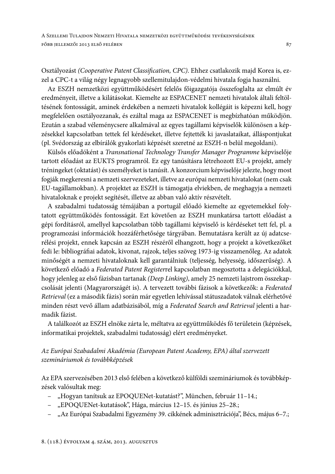Osztályozást (Cooperative Patent Classification, CPC). Ehhez csatlakozik majd Korea is, ezzel a CPC-t a világ négy legnagyobb szellemitulajdon-védelmi hivatala fogja használni.

Az ESZH nemzetközi együttműködésért felelős főigazgatója összefoglalta az elmúlt év eredményeit, illetve a kilátásokat. Kiemelte az ESPACENET nemzeti hivatalok általi feltöltésének fontosságát, aminek érdekében a nemzeti hivatalok kollégáit is képezni kell, hogy megfelelően osztályozzanak, és ezáltal maga az ESPACENET is megbízhatóan működjön. Ezután a szabad véleménycsere alkalmával az egyes tagállami képviselők különösen a képzésekkel kapcsolatban tettek fel kérdéseket, illetve fejtették ki javaslataikat, álláspontjukat (pl. Svédország az elbírálók gyakorlati képzését szeretné az ESZH-n belül megoldani).

Külsős előadóként a Transnational Technology Transfer Manager Programme képviselője tartott előadást az EUKTS programról. Ez egy tanúsításra létrehozott EU-s projekt, amely tréningeket (oktatást) és személyeket is tanúsít. A konzorcium képviselője jelezte, hogy most fogják megkeresni a nemzeti szervezeteket, illetve az európai nemzeti hivatalokat (nem csak EU-tagállamokban). A projektet az ESZH is támogatja elviekben, de meghagyja a nemzeti hivataloknak e projekt segítését, illetve az abban való aktív részvételt.

A szabadalmi tudatosság témájában a portugál előadó kiemelte az egyetemekkel folytatott együttműködés fontosságát. Ezt követően az ESZH munkatársa tartott előadást a gépi fordításról, amellyel kapcsolatban több tagállami képviselő is kérdéseket tett fel, pl. a programozási információk hozzáférhetősége tárgyában. Bemutatásra került az új adatcserélési projekt, ennek kapcsán az ESZH részéről elhangzott, hogy a projekt a következőket fedi le: bibliográfiai adatok, kivonat, rajzok, teljes szöveg 1973-ig visszamenőleg. Az adatok minőségét a nemzeti hivataloknak kell garantálniuk (teljesség, helyesség, időszerűség). A következő előadó a Federated Patent Registerrel kapcsolatban megosztotta a delegációkkal, hogy jelenleg az első fázisban tartanak (Deep Linking), amely 25 nemzeti lajstrom összekapcsolását jelenti (Magyarországét is). A tervezett további fázisok a következők: a Federated Retrieval (ez a második fázis) során már egyetlen lehívással státuszadatok válnak elérhetővé minden részt vevő állam adatbázisából, míg a Federated Search and Retrieval jelenti a harmadik fázist.

A találkozót az ESZH elnöke zárta le, méltatva az együttműködés fő területein (képzések, informatikai projektek, szabadalmi tudatosság) elért eredményeket.

### Az Európai Szabadalmi Akadémia (European Patent Academy, EPA) által szervezett szemináriumok és továbbképzések

Az EPA szervezésében 2013 első felében a következő külföldi szemináriumok és továbbképzések valósultak meg:

- "Hogyan tanítsuk az EPOQUENet-kutatást?", München, február 11-14.;
- "EPOQUENet-kutatások", Hága, március 12-15. és június 25-28.;
- "Az Európai Szabadalmi Egyezmény 39. cikkének adminisztrációja", Bécs, május 6-7.;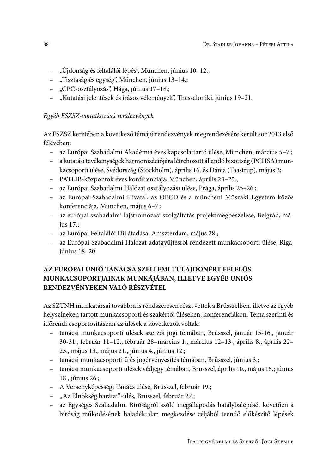- "Újdonság és feltalálói lépés", München, június 10-12.;
- "Tisztaság és egység", München, június 13–14.;
- "CPC-osztályozás", Hága, június 17–18.;
- "Kutatási jelentések és írásos vélemények", Thessaloniki, június 19–21.

## Egyéb ESZSZ-vonatkozású rendezvények

Az ESZSZ keretében a következő témájú rendezvények megrendezésére került sor 2013 első félévében:

- az Európai Szabadalmi Akadémia éves kapcsolattartó ülése, München, március 5-7.;
- a kutatási tevékenységek harmonizációjára létrehozott állandó bizottság (PCHSA) munkacsoporti ülése, Svédország (Stockholm), április 16. és Dánia (Taastrup), május 3;
- PATLIB-központok éves konferenciája, München, április 23–25.;
- az Európai Szabadalmi Hálózat osztályozási ülése, Prága, április 25–26.;
- az Európai Szabadalmi Hivatal, az OECD és a müncheni Műszaki Egyetem közös konferenciája, München, május 6-7.;
- az európai szabadalmi lajstromozási szolgáltatás projektmegbeszélése, Belgrád, május 17.;
- az Európai Feltalálói Díj átadása, Amszterdam, május 28.;
- az Európai Szabadalmi Hálózat adatgyűjtésről rendezett munkacsoporti ülése, Riga, június 18-20.

# AZ EURÓPAI UNIÓ TANÁCSA SZELLEMI TULAJDONÉRT FELELŐS MUNKACSOPORTJAINAK MUNKÁJÁBAN, ILLETVE EGYÉB UNIÓS RENDEZVÉNYEKEN VALÓ RÉSZVÉTEL

Az SZTNH munkatársai továbbra is rendszeresen részt vettek a Brüsszelben, illetve az egyéb helyszíneken tartott munkacsoporti és szakértői üléseken, konferenciákon. Téma szerinti és időrendi csoportosításban az ülések a következők voltak:

- tanácsi munkacsoporti ülések szerzői jogi témában, Brüsszel, január 15-16., január 30-31., február 11-12., február 28-március 1., március 12-13., április 8., április 22-23., május 13., május 21., június 4., június 12.;
- tanácsi munkacsoporti ülés jogérvényesítés témában, Brüsszel, június 3.;
- tanácsi munkacsoporti ülések védjegy témában, Brüsszel, április 10., május 15.; június 18., június 26.;
- A Versenyképességi Tanács ülése, Brüsszel, február 19.;
- "Az Elnökség barátai"-ülés, Brüsszel, február 27.;
- az Egységes Szabadalmi Bíróságról szóló megállapodás hatálybalépését követően a bíróság működésének haladéktalan megkezdése céljából teendő előkészítő lépések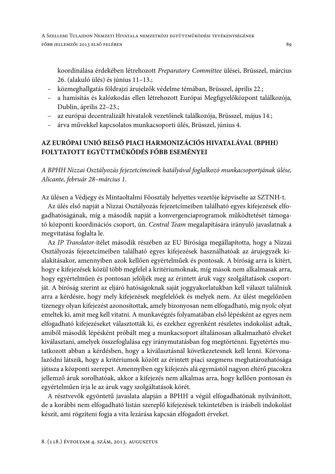koordinálása érdekében létrehozott Preparatory Committee ülései, Brüsszel, március 26. (alakuló ülés) és június 11-13.;

- közmeghallgatás földrajzi árujelzők védelme témában, Brüsszel, április 22.;
- a hamisítás és kalózkodás ellen létrehozott Európai Megfigyelőközpont találkozója, Dublin, április 22-23.;
- az európai decentralizált hivatalok vezetőinek találkozója, Brüsszel, május 14.;
- árva művekkel kapcsolatos munkacsoporti ülés, Brüsszel, június 4.

# AZ EURÓPAI UNIÓ BELSŐ PIACI HARMONIZÁCIÓS HIVATALÁVAL (BPHH) FOLYTATOTT EGYÜTTMŰKÖDÉS FŐBB ESEMÉNYEI

A BPHH Nizzai Osztályozás fejezetcímeinek hatályával foglalkozó munkacsoportjának ülése, Alicante, február 28-március 1.

Az ülésen a Védjegy és Mintaoltalmi Főosztály helyettes vezetője képviselte az SZTNH-t.

Az ülés első napját a Nizzai Osztályozás fejezetcímeiben található egyes kifejezések elfogadhatóságának, míg a második napját a konvergenciaprogramok működtetését támogató központi koordinációs csoport, ún. Central Team megalapítására irányuló javaslatnak a megvitatása foglalta le.

Az IP Translator-ítélet második részében az EU Bírósága megállapította, hogy a Nizzai Osztályozás fejezetcímeiben található egyes kifejezések használhatóak az árujegyzék kialakításakor, amennyiben azok kellően egyértelműek és pontosak. A bíróság arra is kitért, hogy e kifejezések közül több megfelel a kritériumoknak, míg mások nem alkalmasak arra, hogy egyértelműen és pontosan jelöljék meg az érintett áruk vagy szolgáltatások csoportját. A bíróság szerint az eljáró hatóságoknak saját joggyakorlatukban kell választ találniuk arra a kérdésre, hogy mely kifejezések megfelelőek és melyek nem. Az ülést megelőzően tizenegy olyan kifejezést azonosítottak, amely bizonyosan nem elfogadható, míg nyolc olyat emeltek ki, amit meg kell vitatni. A munkavégzés folyamatában első lépésként az egyes nem elfogadható kifejezéseket választották ki, és ezekhez egyenként részletes indokolást adtak, amiből második lépésként próbált meg a munkacsoport általánosan alkalmazható elveket kiválasztani, amelyek összefoglalása egy iránymutatásban fog megtörténni. Egyetértés mutatkozott abban a kérdésben, hogy a kiválasztásnál következetesnek kell lenni. Körvonalazódni látszik, hogy a kritériumok között az érintett piaci szegmens meghatározhatósága játssza a központi szerepet. Amennyiben egy kifejezés alá egymástól nagyon eltérő piacokra jellemző áruk sorolhatóak, akkor a kifejezés nem alkalmas arra, hogy kellően pontosan és egyértelműen írja le az áruk vagy szolgáltatások körét.

A résztvevők egyöntetű javaslata alapján a BPHH a végül elfogadhatónak nyilvánított, de a korábbi nem elfogadható listán szereplő kifejezések tekintetében is írásbeli indokolást készít, ami rögzíteni fogja a vita lezárása kapcsán elfogadott érveket.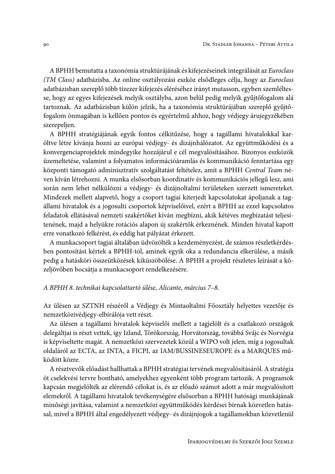A BPHH bemutatta a taxonómia struktúrájának és kifejezéseinek integrálását az Euroclass (TM Class) adatbázisba. Az online osztályozási eszköz elsődleges célja, hogy az Euroclass adatbázisban szereplő több tízezer kifejezés eléréséhez irányt mutasson, egyben szemléltesse, hogy az egyes kifejezések melyik osztályba, azon belül pedig melyik gyűjtőfogalom alá tartoznak. Az adatbázisban külön jelzik, ha a taxonómia struktúrájában szereplő gyűjtőfogalom önmagában is kellően pontos és egyértelmű ahhoz, hogy védjegy árujegyzékében szerepeljen.

A BPHH stratégiájának egyik fontos célkitűzése, hogy a tagállami hivatalokkal karöltve létre kívánja hozni az európai védjegy- és dizájnhálózatot. Az együttműködési és a konvergenciaprojektek mindegyike hozzájárul e cél megvalósításához. Bizonyos eszközök üzemeltetése, valamint a folyamatos információáramlás és kommunikáció fenntartása egy központi támogató adminisztratív szolgáltatást feltételez, amit a BPHH Central Team néven kíván létrehozni. A munka elsősorban koordinatív és kommunikációs jellegű lesz, ami során nem lehet nélkülözni a védjegy- és dizájnoltalmi területeken szerzett ismereteket. Mindezek mellett alapvető, hogy a csoport tagjai kiterjedt kapcsolatokat ápoljanak a tagállami hivatalok és a jogosulti csoportok képviselőivel, ezért a BPHH az ezzel kapcsolatos feladatok ellátásával nemzeti szakértőket kíván megbízni, akik kétéves megbízatást teljesítenének, majd a helyükre rotációs alapon új szakértők érkeznének. Minden hivatal kapott erre vonatkozó felkérést, és eddig hat pályázat érkezett.

A munkacsoport tagjai általában üdvözölték a kezdeményezést, de számos részletkérdésben pontosítást kértek a BPHH-tól, aminek egyik oka a redundancia elkerülése, a másik pedig a hatásköri összeütközések kiküszöbölése. A BPHH a projekt részletes leírását a közeljövőben bocsátja a munkacsoport rendelkezésére.

#### A BPHH 8. technikai kapcsolattartó ülése, Alicante, március 7–8.

Az ülésen az SZTNH részéről a Védjegy és Mintaoltalmi Főosztály helyettes vezetője és nemzetközivédjegy-elbírálója vett részt.

Az ülésen a tagállami hivatalok képviselői mellett a tagjelölt és a csatlakozó országok delegáltjai is részt vettek, így Izland, Törökország, Horvátország, továbbá Svájc és Norvégia is képviseltette magát. A nemzetközi szervezetek közül a WIPO volt jelen, míg a jogosultak oldaláról az ECTA, az INTA, a FICPI, az IAM/BUSSINESEUROPE és a MARQUES működött közre.

A résztvevők előadást hallhattak a BPHH stratégiai tervének megvalósításáról. A stratégia öt cselekvési tervre bontható, amelyekhez egyenként több program tartozik. A programok kapcsán megjelölték az elérendő célokat is, és az előadó számot adott a már megvalósított elemekről. A tagállami hivatalok tevékenységére elsősorban a BPHH hatósági munkájának minőségi javítása, valamint a nemzetközi együttműködés kérdései bírnak közvetlen hatással, mivel a BPHH által engedélyezett védjegy- és dizájnjogok a tagállamokban közvetlenül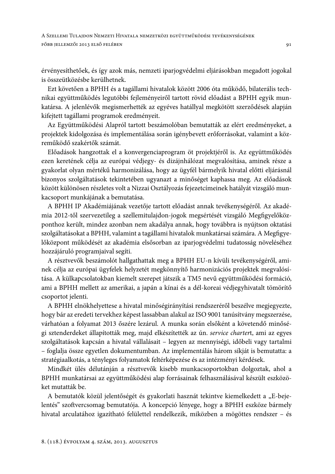érvényesíthetőek, és így azok más, nemzeti iparjogvédelmi eljárásokban megadott jogokal is összeütközésbe kerülhetnek.

Ezt követően a BPHH és a tagállami hivatalok között 2006 óta működő, bilaterális technikai együttműködés legutóbbi fejleményeiről tartott rövid előadást a BPHH egyik munkatársa. A jelenlévők megismerhették az egyéves hatállyal megkötött szerződések alapján kifejtett tagállami programok eredményeit.

Az Együttműködési Alapról tartott beszámolóban bemutatták az elért eredményeket, a projektek kidolgozása és implementálása során igénybevett erőforrásokat, valamint a közreműködő szakértők számát.

Előadások hangzottak el a konvergenciaprogram öt projektjéről is. Az együttműködés ezen keretének célja az európai védjegy- és dizájnhálózat megvalósítása, aminek része a gyakorlat olyan mértékű harmonizálása, hogy az ügyfél bármelyik hivatal előtti eljárásnál bizonyos szolgáltatások tekintetében ugyanazt a minőséget kaphassa meg. Az előadások között különösen részletes volt a Nizzai Osztályozás fejezetcímeinek hatályát vizsgáló munkacsoport munkájának a bemutatása.

A BPHH IP Akadémiájának vezetője tartott előadást annak tevékenységéről. Az akadémia 2012-től szervezetileg a szellemitulajdon-jogok megsértését vizsgáló Megfigyelőközponthoz került, mindez azonban nem akadálya annak, hogy továbbra is nyújtson oktatási szolgáltatásokat a BPHH, valamint a tagállami hivatalok munkatársai számára. A Megfigyelőközpont működését az akadémia elsősorban az iparjogvédelmi tudatosság növeléséhez hozzájáruló programjaival segíti.

A résztvevők beszámolót hallgathattak meg a BPHH EU-n kívüli tevékenységéről, aminek célja az európai ügyfelek helyzetét megkönnyítő harmonizációs projektek megvalósítása. A külkapcsolatokban kiemelt szerepet játszik a TM5 nevű együttműködési formáció, ami a BPHH mellett az amerikai, a japán a kínai és a dél-koreai védjegyhivatalt tömörítő csoportot jelenti.

A BPHH elnökhelyettese a hivatal minőségirányítási rendszeréről beszélve megjegyezte, hogy bár az eredeti tervekhez képest lassabban alakul az ISO 9001 tanúsítvány megszerzése, várhatóan a folyamat 2013 őszére lezárul. A munka során elsőként a követendő minőségi sztenderdeket állapították meg, majd elkészítették az ún. service chartert, ami az egyes szolgáltatások kapcsán a hivatal vállalásait – legyen az mennyiségi, időbeli vagy tartalmi - foglalja össze egyetlen dokumentumban. Az implementálás három síkját is bemutatta: a stratégiaalkotás, a tényleges folyamatok feltérképezése és az intézményi kérdések.

Mindkét ülés délutánján a résztvevők kisebb munkacsoportokban dolgoztak, ahol a BPHH munkatársai az együttműködési alap forrásainak felhasználásával készült eszközöket mutatták be.

A bemutatók közül jelentőségét és gyakorlati hasznát tekintve kiemelkedett a "E-bejelentés" szoftvercsomag bemutatója. A koncepció lényege, hogy a BPHH eszköze bármely hivatal arculatához igazítható felülettel rendelkezik, miközben a mögöttes rendszer – és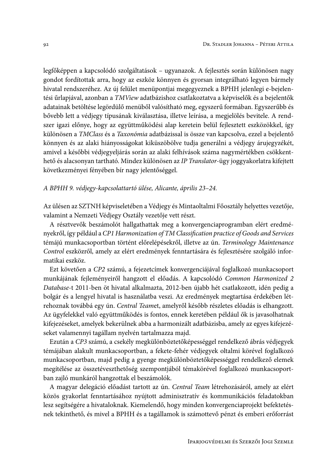legfőképpen a kapcsolódó szolgáltatások – ugyanazok. A fejlesztés során különösen nagy gondot fordítottak arra, hogy az eszköz könnyen és gyorsan integrálható legyen bármely hivatal rendszeréhez. Az új felület menüpontjai megegyeznek a BPHH jelenlegi e-bejelentési űrlapjával, azonban a TMView adatbázishoz csatlakoztatva a képviselők és a bejelentők adatainak betöltése legördülő menüből valósítható meg, egyszerű formában. Egyszerűbb és bővebb lett a védjegy típusának kiválasztása, illetve leírása, a megjelölés bevitele. A rendszer igazi előnye, hogy az együttműködési alap keretein belül fejlesztett eszközökkel, így különösen a TMClass és a Taxonómia adatbázissal is össze van kapcsolva, ezzel a bejelentő könnyen és az alaki hiányosságokat kiküszöbölve tudja generálni a védjegy árujegyzékét, amivel a későbbi védjegyeljárás során az alaki felhívások száma nagymértékben csökkenthető és alacsonyan tartható. Mindez különösen az IP Translator-ügy joggyakorlatra kifejtett következményei fényében bír nagy jelentőséggel.

A BPHH 9. védjegy-kapcsolattartó ülése, Alicante, április 23–24.

Az ülésen az SZTNH képviseletében a Védjegy és Mintaoltalmi Főosztály helyettes vezetője, valamint a Nemzeti Védjegy Osztály vezetője vett részt.

A résztvevők beszámolót hallgathattak meg a konvergenciaprogramban elért eredményekről, így például a CP1 Harmonization of TM Classification practice of Goods and Services témájú munkacsoportban történt előrelépésekről, illetve az ún. Terminology Maintenance Control eszközről, amely az elért eredmények fenntartására és fejlesztésére szolgáló informatikai eszköz.

Ezt követően a CP2 számú, a fejezetcímek konvergenciájával foglalkozó munkacsoport munkájának fejleményeiről hangzott el előadás. A kapcsolódó Common Harmonized 2 Database-t 2011-ben öt hivatal alkalmazta, 2012-ben újabb hét csatlakozott, idén pedig a bolgár és a lengyel hivatal is használatba veszi. Az eredmények megtartása érdekében létrehoznak továbbá egy ún. Central Teamet, amelyről később részletes előadás is elhangzott. Az ügyfelekkel való együttműködés is fontos, ennek keretében például ők is javasolhatnak kifejezéseket, amelyek bekerülnek abba a harmonizált adatbázisba, amely az egyes kifejezéseket valamennyi tagállam nyelvén tartalmazza majd.

Ezután a CP3 számú, a csekély megkülönböztetőképességgel rendelkező ábrás védjegyek témájában alakult munkacsoportban, a fekete-fehér védjegyek oltalmi körével foglalkozó munkacsoportban, majd pedig a gyenge megkülönböztetőképességgel rendelkező elemek megítélése az összetéveszthetőség szempontjából témakörével foglalkozó munkacsoportban zajló munkáról hangzottak el beszámolók.

A magyar delegáció előadást tartott az ún. Central Team létrehozásáról, amely az elért közös gyakorlat fenntartásához nyújtott adminisztratív és kommunikációs feladatokban lesz segítségére a hivataloknak. Kiemelendő, hogy minden konvergenciaprojekt befektetésnek tekinthető, és mivel a BPHH és a tagállamok is számottevő pénzt és emberi erőforrást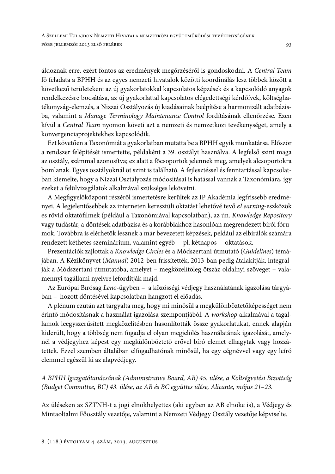áldoznak erre, ezért fontos az eredmények megőrzéséről is gondoskodni. A Central Team fő feladata a BPHH és az egyes nemzeti hivatalok közötti koordinálás lesz többek között a következő területeken: az új gyakorlatokkal kapcsolatos képzések és a kapcsolódó anyagok rendelkezésre bocsátása, az új gyakorlattal kapcsolatos elégedettségi kérdőívek, költséghatékonyság-elemzés, a Nizzai Osztályozás új kiadásainak beépítése a harmonizált adatbázisba, valamint a Manage Terminology Maintenance Control fordításának ellenőrzése. Ezen kívül a Central Team nyomon követi azt a nemzeti és nemzetközi tevékenységet, amely a konvergenciaprojektekhez kapcsolódik.

Ezt követően a Taxonómiát a gyakorlatban mutatta be a BPHH egyik munkatársa. Először a rendszer felépítését ismertette, példaként a 39. osztályt használva. A legfelső szint maga az osztály, számmal azonosítva; ez alatt a főcsoportok jelennek meg, amelyek alcsoportokra bomlanak. Egyes osztályoknál öt szint is található. A fejlesztéssel és fenntartással kapcsolatban kiemelte, hogy a Nizzai Osztályozás módosításai is hatással vannak a Taxonómiára, így ezeket a felülvizsgálatok alkalmával szükséges lekövetni.

A Megfigyelőközpont részéről ismertetésre kerültek az IP Akadémia legfrissebb eredményei. A legjelentősebbek az interneten keresztüli oktatást lehetővé tevő eLearning-eszközök és rövid oktatófilmek (például a Taxonómiával kapcsolatban), az ún. Knowledge Repository vagy tudástár, a döntések adatbázisa és a korábbiakhoz hasonlóan megrendezett bírói fórumok. Továbbra is elérhetők lesznek a már bevezetett képzések, például az elbírálók számára rendezett kéthetes szeminárium, valamint egyéb – pl. kétnapos – oktatások.

Prezentációk zajlottak a Knowledge Circles és a Módszertani útmutató (Guidelines) témájában. A Kézikönyvet (Manual) 2012-ben frissítették, 2013-ban pedig átalakítják, integrálják a Módszertani útmutatóba, amelyet - megközelítőleg ötszáz oldalnyi szöveget - valamennyi tagállami nyelvre lefordítják majd.

Az Európai Bíróság Leno-ügyben - a közösségi védjegy használatának igazolása tárgyában - hozott döntésével kapcsolatban hangzott el előadás.

A plénum ezután azt tárgyalta meg, hogy mi minősül a megkülönböztetőképességet nem érintő módosításnak a használat igazolása szempontjából. A workshop alkalmával a tagállamok leegyszerűsített megközelítésben hasonlították össze gyakorlatukat, ennek alapján kiderült, hogy a többség nem fogadja el olyan megjelölés használatának igazolását, amelynél a védjegyhez képest egy megkülönböztető erővel bíró elemet elhagytak vagy hozzátettek. Ezzel szemben általában elfogadhatónak minősül, ha egy cégnévvel vagy egy leíró elemmel egészül ki az alapvédjegy.

A BPHH Igazgatótanácsának (Administrative Board, AB) 45. ülése, a Költségvetési Bizottság (Budget Committee, BC) 43. ülése, az AB és BC együttes ülése, Alicante, május 21-23.

Az üléseken az SZTNH-t a jogi elnökhelyettes (aki egyben az AB elnöke is), a Védjegy és Mintaoltalmi Főosztály vezetője, valamint a Nemzeti Védjegy Osztály vezetője képviselte.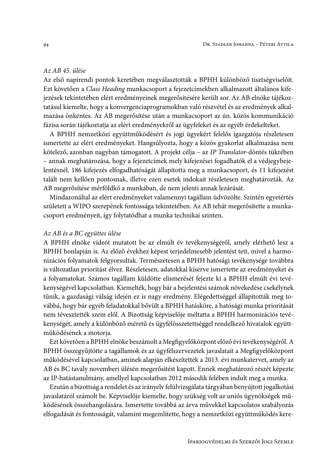#### Az AB 45. ülése

Az első napirendi pontok keretében megválasztották a BPHH különböző tisztségviselőit. Ezt követően a Class Heading munkacsoport a fejezetcímekben alkalmazott általános kifejezések tekintetében elért eredményeinek megerősítésére került sor. Az AB elnöke tájékoztatásul kiemelte, hogy a konvergenciaprogramokban való részvétel és az eredmények alkalmazása önkéntes. Az AB megerősítése után a munkacsoport az ún. közös kommunikáció fázisa során tájékoztatja az elért eredményekről az ügyfeleket és az egyéb érdekelteket.

A BPHH nemzetközi együttműködésért és jogi ügyekért felelős igazgatója részletesen ismertette az elért eredményeket. Hangsúlyozta, hogy a közös gyakorlat alkalmazása nem kötelező, azonban nagyban támogatott. A projekt célja – az IP Translator-döntés tükrében - annak meghatározása, hogy a fejezetcímek mely kifejezései fogadhatók el a védjegybejelentésnél. 186 kifejezés elfogadhatóságát állapította meg a munkacsoport, és 11 kifejezést talált nem kellően pontosnak, illetve ezen esetek indokait részletesen meghatározták. Az AB megerősítése mérföldkő a munkában, de nem jelenti annak lezárását.

Mindazonáltal az elért eredményeket valamennyi tagállam üdvözölte. Szintén egyetértés született a WIPO szerepének fontossága tekintetében. Az AB tehát megerősítette a munkacsoport eredményeit, így folytatódhat a munka technikai szinten.

#### Az AB és a BC együttes ülése

A BPHH elnöke videót mutatott be az elmúlt év tevékenységéről, amely elérhető lesz a BPHH honlapján is. Az előző évekhez képest terjedelmesebb jelentést tett, mivel a harmonizációs folyamatok felgyorsultak. Természetesen a BPHH hatósági tevékenysége továbbra is változatlan prioritást élvez. Részletesen, adatokkal kísérve ismertette az eredményeket és a folyamatokat. Számos tagállam küldötte elismerését fejezte ki a BPHH elmúlt évi tevékenységével kapcsolatban. Kiemelték, hogy bár a bejelentési számok növekedése csekélynek tűnik, a gazdasági válság idején ez is nagy eredmény. Elégedettséggel állapították meg továbbá, hogy bár egyéb feladatokkal bővült a BPHH hatásköre, a hatósági munka prioritását nem tévesztették szem elől. A Bizottság képviselője méltatta a BPHH harmonizációs tevékenységét, amely a különböző méretű és ügyfélösszetettséggel rendelkező hivatalok együttműködésének a motorja.

Ezt követően a BPHH elnöke beszámolt a Megfigyelőközpont előző évi tevékenységéről. A BPHH összegyűjtötte a tagállamok és az ügyfélszervezetek javaslatait a Megfigyelőközpont működésével kapcsolatban, aminek alapján elkészítették a 2013. évi munkatervet, amely az AB és BC tavaly novemberi ülésén megerősítést kapott. Ennek meghatározó részét képezte az IP-hatástanulmány, amellyel kapcsolatban 2012 második felében indult meg a munka.

Ezután a bizottság a rendelet és az irányelv felülvizsgálata tárgyában benyújtott jogalkotási javaslatáról számolt be. Képviselője kiemelte, hogy szükség volt az uniós ügynökségek működésének összehangolására. Ismertette továbbá az árva művekkel kapcsolatos szabályozás elfogadását és fontosságát, valamint megemlítette, hogy a nemzetközi együttműködés kere-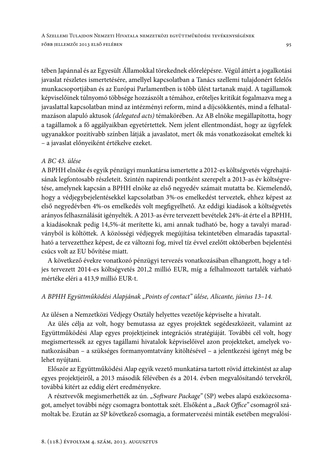tében Japánnal és az Egyesült Államokkal törekednek előrelépésre. Végül áttért a jogalkotási javaslat részletes ismertetésére, amellyel kapcsolatban a Tanács szellemi tulajdonért felelős munkacsoportjában és az Európai Parlamentben is több ülést tartanak majd. A tagállamok képviselőinek túlnyomó többsége hozzászólt a témához, erőteljes kritikát fogalmazva meg a javaslattal kapcsolatban mind az intézményi reform, mind a díjcsökkentés, mind a felhatalmazáson alapuló aktusok (delegated acts) témakörében. Az AB elnöke megállapította, hogy a tagállamok a fő aggályaikban egyetértettek. Nem jelent ellentmondást, hogy az ügyfelek ugyanakkor pozitívabb színben látják a javaslatot, mert ők más vonatkozásokat emeltek ki - a javaslat előnyeiként értékelve ezeket.

### A BC 43. ülése

A BPHH elnöke és egyik pénzügyi munkatársa ismertette a 2012-es költségvetés végrehajtásának legfontosabb részleteit. Szintén napirendi pontként szerepelt a 2013-as év költségvetése, amelynek kapcsán a BPHH elnöke az első negyedév számait mutatta be. Kiemelendő, hogy a védjegybejelentésekkel kapcsolatban 3%-os emelkedést terveztek, ehhez képest az első negyedévben 4%-os emelkedés volt megfigyelhető. Az eddigi kiadások a költségyetés arányos felhasználását igényelték. A 2013-as évre tervezett bevételek 24%-át érte el a BPHH, a kiadásoknak pedig 14,5%-át merítette ki, ami annak tudható be, hogy a tavalyi maradványból is költöttek. A közösségi védjegyek megújítása tekintetében elmaradás tapasztalható a tervezetthez képest, de ez változni fog, mivel tíz évvel ezelőtt októberben bejelentési csúcs volt az EU bővítése miatt.

A következő évekre vonatkozó pénzügyi tervezés vonatkozásában elhangzott, hogy a teljes tervezett 2014-es költségvetés 201,2 millió EUR, míg a felhalmozott tartalék várható mértéke eléri a 413,9 millió EUR-t.

### A BPHH Együttműködési Alapjának "Points of contact" ülése, Alicante, június 13-14.

Az ülésen a Nemzetközi Védjegy Osztály helyettes vezetője képviselte a hivatalt.

Az ülés célja az volt, hogy bemutassa az egyes projektek segédeszközeit, valamint az Együttműködési Alap egyes projektjeinek integrációs stratégiáját. További cél volt, hogy megismertessék az egyes tagállami hivatalok képviselőivel azon projekteket, amelyek vonatkozásában – a szükséges formanyomtatvány kitöltésével – a jelentkezési igényt még be lehet nyújtani.

Először az Együttműködési Alap egyik vezető munkatársa tartott rövid áttekintést az alap egyes projektjeiről, a 2013 második félévében és a 2014. évben megvalósítandó tervekről, továbbá kitért az eddig elért eredményekre.

A résztvevők megismerhették az ún. "Software Package" (SP) webes alapú eszközcsomagot, amelyet további négy csomagra bontottak szét. Elsőként a "Back Office" csomagról számoltak be. Ezután az SP következő csomagja, a formatervezési minták esetében megvalósí-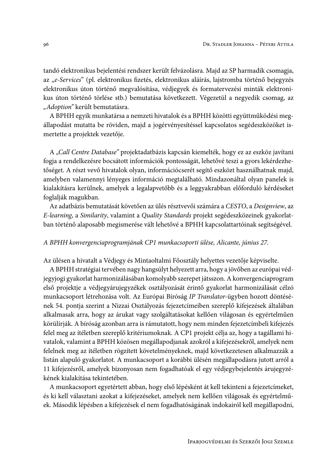tandó elektronikus bejelentési rendszer került felvázolásra. Majd az SP harmadik csomagja, az "e-Services" (pl. elektronikus fizetés, elektronikus aláírás, lajstromba történő bejegyzés elektronikus úton történő megvalósítása, védjegyek és formatervezési minták elektronikus úton történő törlése stb.) bemutatása következett. Végezetül a negyedik csomag, az "Adoption" került bemutatásra.

A BPHH egyik munkatársa a nemzeti hivatalok és a BPHH közötti együttműködési megállapodást mutatta be röviden, majd a jogérvényesítéssel kapcsolatos segédeszközöket ismertette a projektek vezetője.

A "Call Centre Database" projektadatbázis kapcsán kiemelték, hogy ez az eszköz javítani fogja a rendelkezésre bocsátott információk pontosságát, lehetővé teszi a gyors lekérdezhetőséget. A részt vevő hivatalok olyan, információcserét segítő eszközt használhatnak majd, amelyben valamennyi lényeges információ megtalálható. Mindazonáltal olyan panelek is kialakításra kerülnek, amelyek a legalapvetőbb és a leggyakrabban előforduló kérdéseket foglalják magukban.

Az adatbázis bemutatását követően az ülés résztvevői számára a CESTO, a Designview, az E-learning, a Similarity, valamint a Quality Standards projekt segédeszközeinek gyakorlatban történő alaposabb megismerése vált lehetővé a BPHH kapcsolattartóinak segítségével.

#### A BPHH konvergenciaprogramjának CP1 munkacsoporti ülése, Alicante, június 27.

Az ülésen a hivatalt a Védjegy és Mintaoltalmi Főosztály helyettes vezetője képviselte.

A BPHH stratégiai tervében nagy hangsúlyt helyezett arra, hogy a jövőben az európai védjegyjogi gyakorlat harmonizálásában komolyabb szerepet játsszon. A konvergenciaprogram első projektje a védjegyárujegyzékek osztályozását érintő gyakorlat harmonizálását célzó munkacsoport létrehozása volt. Az Európai Bíróság IP Translator-ügyben hozott döntésének 54. pontja szerint a Nizzai Osztályozás fejezetcímeiben szereplő kifejezések általában alkalmasak arra, hogy az árukat vagy szolgáltatásokat kellően világosan és egyértelműen körülírják. A bíróság azonban arra is rámutatott, hogy nem minden fejezetcímbeli kifejezés felel meg az ítéletben szereplő kritériumoknak. A CP1 projekt célja az, hogy a tagállami hivatalok, valamint a BPHH közösen megállapodjanak azokról a kifejezésekről, amelyek nem felelnek meg az ítéletben rögzített követelményeknek, majd következetesen alkalmazzák a listán alapuló gyakorlatot. A munkacsoport a korábbi ülésén megállapodásra jutott arról a 11 kifejezésről, amelyek bizonyosan nem fogadhatóak el egy védjegybejelentés árujegyzékének kialakítása tekintetében.

A munkacsoport egyetértett abban, hogy első lépésként át kell tekinteni a fejezetcímeket, és ki kell választani azokat a kifejezéseket, amelyek nem kellően világosak és egyértelműek. Második lépésben a kifejezések el nem fogadhatóságának indokairól kell megállapodni,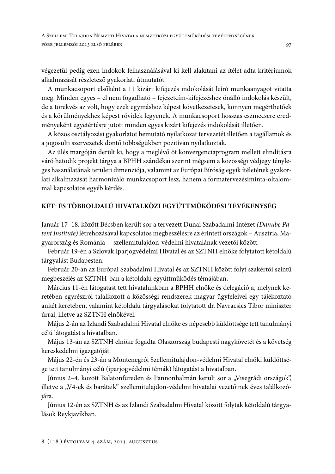A SZELLEMI TULAJDON NEMZETI HIVATALA NEMZETKÖZI EGYÜTTMŰKÖDÉSI TEVÉKENYSÉGÉNEK FŐBB JELLEMZŐI 2013 ELSŐ FELÉBEN

végezetül pedig ezen indokok felhasználásával ki kell alakítani az ítélet adta kritériumok alkalmazását részletező gyakorlati útmutatót.

A munkacsoport elsőként a 11 kizárt kifejezés indokolását leíró munkaanyagot vitatta meg. Minden egyes – el nem fogadható – fejezetcím-kifejezéshez önálló indokolás készült, de a törekvés az volt, hogy ezek egymáshoz képest következetesek, könnyen megérthetőek és a körülményekhez képest rövidek legyenek. A munkacsoport hosszas eszmecsere eredményeként egyetértésre jutott minden egyes kizárt kifejezés indokolását illetően.

A közös osztályozási gyakorlatot bemutató nyilatkozat tervezetét illetően a tagállamok és a jogosulti szervezetek döntő többségükben pozitívan nyilatkoztak.

Az ülés margóján derült ki, hogy a meglévő öt konvergenciaprogram mellett elindításra váró hatodik projekt tárgya a BPHH szándékai szerint mégsem a közösségi védjegy tényleges használatának területi dimenziója, valamint az Európai Bíróság egyik ítéletének gyakorlati alkalmazását harmonizáló munkacsoport lesz, hanem a formatervezésiminta-oltalommal kapcsolatos egyéb kérdés.

## KÉT- ÉS TÖBBOLDALÚ HIVATALKÖZI EGYÜTTMŰKÖDÉSI TEVÉKENYSÉG

Január 17-18. között Bécsben került sor a tervezett Dunai Szabadalmi Intézet (Danube Patent Institute) létrehozásával kapcsolatos megbeszélésre az érintett országok – Ausztria, Magyarország és Románia - szellemitulajdon-védelmi hivatalának vezetői között.

Február 19-én a Szlovák Iparjogvédelmi Hivatal és az SZTNH elnöke folytatott kétoldalú tárgyalást Budapesten.

Február 20-án az Európai Szabadalmi Hivatal és az SZTNH között folyt szakértői szintű megbeszélés az SZTNH-ban a kétoldalú együttműködés témájában.

Március 11-én látogatást tett hivatalunkban a BPHH elnöke és delegációja, melynek keretében egyrészről találkozott a közösségi rendszerek magyar ügyfeleivel egy tájékoztató ankét keretében, valamint kétoldalú tárgyalásokat folytatott dr. Navracsics Tibor miniszter úrral, illetve az SZTNH elnökével.

Május 2-án az Izlandi Szabadalmi Hivatal elnöke és népesebb küldöttsége tett tanulmányi célú látogatást a hivatalban.

Május 13-án az SZTNH elnöke fogadta Olaszország budapesti nagykövetét és a követség kereskedelmi igazgatóját.

Május 22-én és 23-án a Montenegrói Szellemitulajdon-védelmi Hivatal elnöki küldöttsége tett tanulmányi célú (iparjogvédelmi témák) látogatást a hivatalban.

Június 2-4. között Balatonfüreden és Pannonhalmán került sor a "Visegrádi országok", illetve a "V4-ek és barátaik" szellemitulajdon-védelmi hivatalai vezetőinek éves találkozójára.

Június 12-én az SZTNH és az Izlandi Szabadalmi Hivatal között folytak kétoldalú tárgyalások Reykjavíkban.